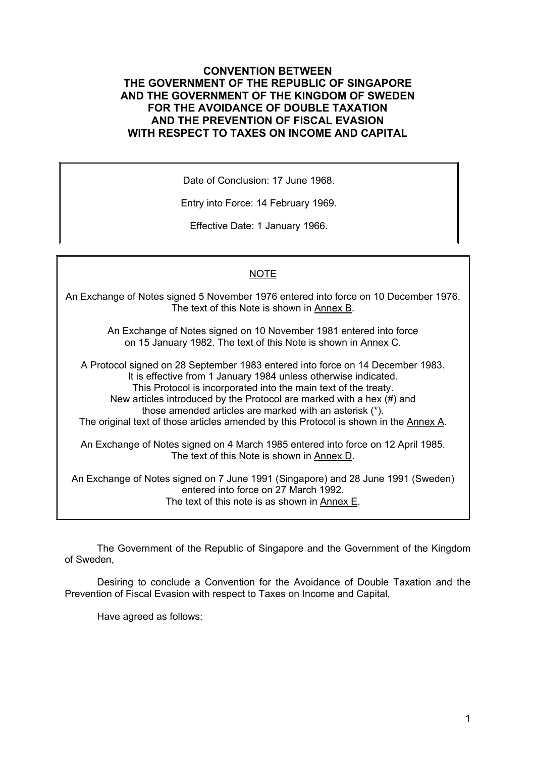## **CONVENTION BETWEEN THE GOVERNMENT OF THE REPUBLIC OF SINGAPORE AND THE GOVERNMENT OF THE KINGDOM OF SWEDEN FOR THE AVOIDANCE OF DOUBLE TAXATION AND THE PREVENTION OF FISCAL EVASION WITH RESPECT TO TAXES ON INCOME AND CAPITAL**

Date of Conclusion: 17 June 1968.

Entry into Force: 14 February 1969.

Effective Date: 1 January 1966.

## NOTE

An Exchange of Notes signed 5 November 1976 entered into force on 10 December 1976. The text of this Note is shown in Annex B.

> An Exchange of Notes signed on 10 November 1981 entered into force on 15 January 1982. The text of this Note is shown in Annex C.

A Protocol signed on 28 September 1983 entered into force on 14 December 1983. It is effective from 1 January 1984 unless otherwise indicated. This Protocol is incorporated into the main text of the treaty. New articles introduced by the Protocol are marked with a hex (#) and those amended articles are marked with an asterisk (\*). The original text of those articles amended by this Protocol is shown in the Annex A. An Exchange of Notes signed on 4 March 1985 entered into force on 12 April 1985. The text of this Note is shown in Annex D.

An Exchange of Notes signed on 7 June 1991 (Singapore) and 28 June 1991 (Sweden) entered into force on 27 March 1992. The text of this note is as shown in Annex E.

The Government of the Republic of Singapore and the Government of the Kingdom of Sweden,

Desiring to conclude a Convention for the Avoidance of Double Taxation and the Prevention of Fiscal Evasion with respect to Taxes on Income and Capital,

Have agreed as follows: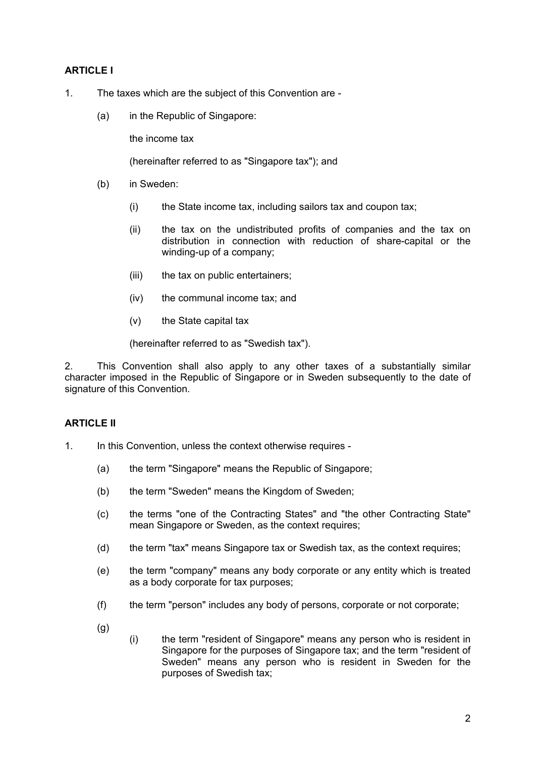## **ARTICLE I**

- 1. The taxes which are the subject of this Convention are
	- (a) in the Republic of Singapore:

the income tax

(hereinafter referred to as "Singapore tax"); and

- (b) in Sweden:
	- (i) the State income tax, including sailors tax and coupon tax;
	- (ii) the tax on the undistributed profits of companies and the tax on distribution in connection with reduction of share-capital or the winding-up of a company;
	- (iii) the tax on public entertainers;
	- (iv) the communal income tax; and
	- (v) the State capital tax

(hereinafter referred to as "Swedish tax").

2. This Convention shall also apply to any other taxes of a substantially similar character imposed in the Republic of Singapore or in Sweden subsequently to the date of signature of this Convention.

#### **ARTICLE II**

- 1. In this Convention, unless the context otherwise requires
	- (a) the term "Singapore" means the Republic of Singapore;
	- (b) the term "Sweden" means the Kingdom of Sweden;
	- (c) the terms "one of the Contracting States" and "the other Contracting State" mean Singapore or Sweden, as the context requires;
	- (d) the term "tax" means Singapore tax or Swedish tax, as the context requires;
	- (e) the term "company" means any body corporate or any entity which is treated as a body corporate for tax purposes;
	- (f) the term "person" includes any body of persons, corporate or not corporate;
	- $(a)$
- (i) the term "resident of Singapore" means any person who is resident in Singapore for the purposes of Singapore tax; and the term "resident of Sweden" means any person who is resident in Sweden for the purposes of Swedish tax;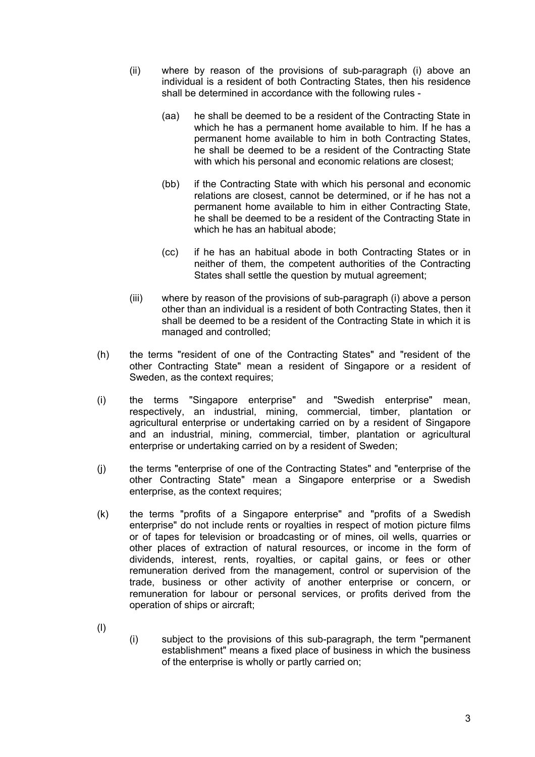- (ii) where by reason of the provisions of sub-paragraph (i) above an individual is a resident of both Contracting States, then his residence shall be determined in accordance with the following rules -
	- (aa) he shall be deemed to be a resident of the Contracting State in which he has a permanent home available to him. If he has a permanent home available to him in both Contracting States, he shall be deemed to be a resident of the Contracting State with which his personal and economic relations are closest;
	- (bb) if the Contracting State with which his personal and economic relations are closest, cannot be determined, or if he has not a permanent home available to him in either Contracting State, he shall be deemed to be a resident of the Contracting State in which he has an habitual abode;
	- (cc) if he has an habitual abode in both Contracting States or in neither of them, the competent authorities of the Contracting States shall settle the question by mutual agreement;
- (iii) where by reason of the provisions of sub-paragraph (i) above a person other than an individual is a resident of both Contracting States, then it shall be deemed to be a resident of the Contracting State in which it is managed and controlled;
- (h) the terms "resident of one of the Contracting States" and "resident of the other Contracting State" mean a resident of Singapore or a resident of Sweden, as the context requires;
- (i) the terms "Singapore enterprise" and "Swedish enterprise" mean, respectively, an industrial, mining, commercial, timber, plantation or agricultural enterprise or undertaking carried on by a resident of Singapore and an industrial, mining, commercial, timber, plantation or agricultural enterprise or undertaking carried on by a resident of Sweden;
- (j) the terms "enterprise of one of the Contracting States" and "enterprise of the other Contracting State" mean a Singapore enterprise or a Swedish enterprise, as the context requires;
- (k) the terms "profits of a Singapore enterprise" and "profits of a Swedish enterprise" do not include rents or royalties in respect of motion picture films or of tapes for television or broadcasting or of mines, oil wells, quarries or other places of extraction of natural resources, or income in the form of dividends, interest, rents, royalties, or capital gains, or fees or other remuneration derived from the management, control or supervision of the trade, business or other activity of another enterprise or concern, or remuneration for labour or personal services, or profits derived from the operation of ships or aircraft;
- (l)
- (i) subject to the provisions of this sub-paragraph, the term "permanent establishment" means a fixed place of business in which the business of the enterprise is wholly or partly carried on;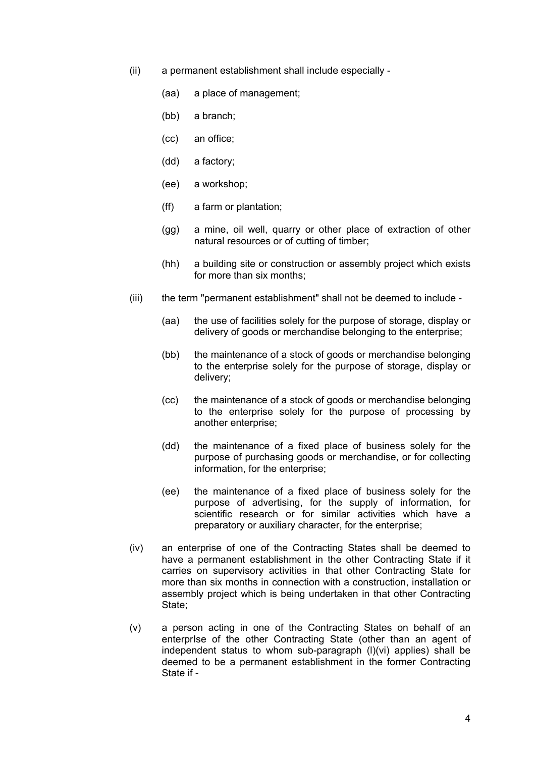- (ii) a permanent establishment shall include especially
	- (aa) a place of management;
	- (bb) a branch;
	- (cc) an office;
	- (dd) a factory;
	- (ee) a workshop;
	- (ff) a farm or plantation;
	- (gg) a mine, oil well, quarry or other place of extraction of other natural resources or of cutting of timber;
	- (hh) a building site or construction or assembly project which exists for more than six months;
- (iii) the term "permanent establishment" shall not be deemed to include
	- (aa) the use of facilities solely for the purpose of storage, display or delivery of goods or merchandise belonging to the enterprise;
	- (bb) the maintenance of a stock of goods or merchandise belonging to the enterprise solely for the purpose of storage, display or delivery;
	- (cc) the maintenance of a stock of goods or merchandise belonging to the enterprise solely for the purpose of processing by another enterprise;
	- (dd) the maintenance of a fixed place of business solely for the purpose of purchasing goods or merchandise, or for collecting information, for the enterprise;
	- (ee) the maintenance of a fixed place of business solely for the purpose of advertising, for the supply of information, for scientific research or for similar activities which have a preparatory or auxiliary character, for the enterprise;
- (iv) an enterprise of one of the Contracting States shall be deemed to have a permanent establishment in the other Contracting State if it carries on supervisory activities in that other Contracting State for more than six months in connection with a construction, installation or assembly project which is being undertaken in that other Contracting State;
- (v) a person acting in one of the Contracting States on behalf of an enterprIse of the other Contracting State (other than an agent of independent status to whom sub-paragraph (l)(vi) applies) shall be deemed to be a permanent establishment in the former Contracting State if -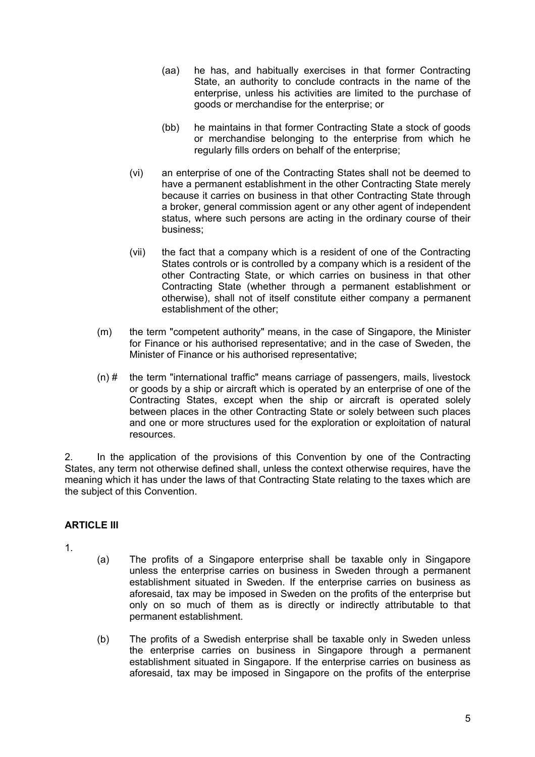- (aa) he has, and habitually exercises in that former Contracting State, an authority to conclude contracts in the name of the enterprise, unless his activities are limited to the purchase of goods or merchandise for the enterprise; or
- (bb) he maintains in that former Contracting State a stock of goods or merchandise belonging to the enterprise from which he regularly fills orders on behalf of the enterprise;
- (vi) an enterprise of one of the Contracting States shall not be deemed to have a permanent establishment in the other Contracting State merely because it carries on business in that other Contracting State through a broker, general commission agent or any other agent of independent status, where such persons are acting in the ordinary course of their business;
- (vii) the fact that a company which is a resident of one of the Contracting States controls or is controlled by a company which is a resident of the other Contracting State, or which carries on business in that other Contracting State (whether through a permanent establishment or otherwise), shall not of itself constitute either company a permanent establishment of the other;
- (m) the term "competent authority" means, in the case of Singapore, the Minister for Finance or his authorised representative; and in the case of Sweden, the Minister of Finance or his authorised representative;
- (n) # the term "international traffic" means carriage of passengers, mails, livestock or goods by a ship or aircraft which is operated by an enterprise of one of the Contracting States, except when the ship or aircraft is operated solely between places in the other Contracting State or solely between such places and one or more structures used for the exploration or exploitation of natural resources.

2. In the application of the provisions of this Convention by one of the Contracting States, any term not otherwise defined shall, unless the context otherwise requires, have the meaning which it has under the laws of that Contracting State relating to the taxes which are the subject of this Convention.

## **ARTICLE III**

1.

- (a) The profits of a Singapore enterprise shall be taxable only in Singapore unless the enterprise carries on business in Sweden through a permanent establishment situated in Sweden. If the enterprise carries on business as aforesaid, tax may be imposed in Sweden on the profits of the enterprise but only on so much of them as is directly or indirectly attributable to that permanent establishment.
- (b) The profits of a Swedish enterprise shall be taxable only in Sweden unless the enterprise carries on business in Singapore through a permanent establishment situated in Singapore. If the enterprise carries on business as aforesaid, tax may be imposed in Singapore on the profits of the enterprise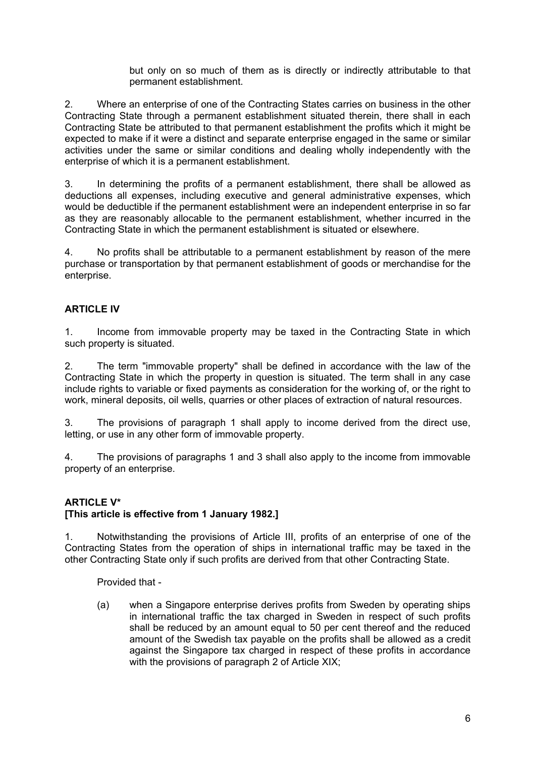but only on so much of them as is directly or indirectly attributable to that permanent establishment.

2. Where an enterprise of one of the Contracting States carries on business in the other Contracting State through a permanent establishment situated therein, there shall in each Contracting State be attributed to that permanent establishment the profits which it might be expected to make if it were a distinct and separate enterprise engaged in the same or similar activities under the same or similar conditions and dealing wholly independently with the enterprise of which it is a permanent establishment.

3. In determining the profits of a permanent establishment, there shall be allowed as deductions all expenses, including executive and general administrative expenses, which would be deductible if the permanent establishment were an independent enterprise in so far as they are reasonably allocable to the permanent establishment, whether incurred in the Contracting State in which the permanent establishment is situated or elsewhere.

4. No profits shall be attributable to a permanent establishment by reason of the mere purchase or transportation by that permanent establishment of goods or merchandise for the enterprise.

## **ARTICLE IV**

1. Income from immovable property may be taxed in the Contracting State in which such property is situated.

2. The term "immovable property" shall be defined in accordance with the law of the Contracting State in which the property in question is situated. The term shall in any case include rights to variable or fixed payments as consideration for the working of, or the right to work, mineral deposits, oil wells, quarries or other places of extraction of natural resources.

3. The provisions of paragraph 1 shall apply to income derived from the direct use, letting, or use in any other form of immovable property.

4. The provisions of paragraphs 1 and 3 shall also apply to the income from immovable property of an enterprise.

## **ARTICLE V\***

#### **[This article is effective from 1 January 1982.]**

1. Notwithstanding the provisions of Article III, profits of an enterprise of one of the Contracting States from the operation of ships in international traffic may be taxed in the other Contracting State only if such profits are derived from that other Contracting State.

Provided that -

(a) when a Singapore enterprise derives profits from Sweden by operating ships in international traffic the tax charged in Sweden in respect of such profits shall be reduced by an amount equal to 50 per cent thereof and the reduced amount of the Swedish tax payable on the profits shall be allowed as a credit against the Singapore tax charged in respect of these profits in accordance with the provisions of paragraph 2 of Article XIX;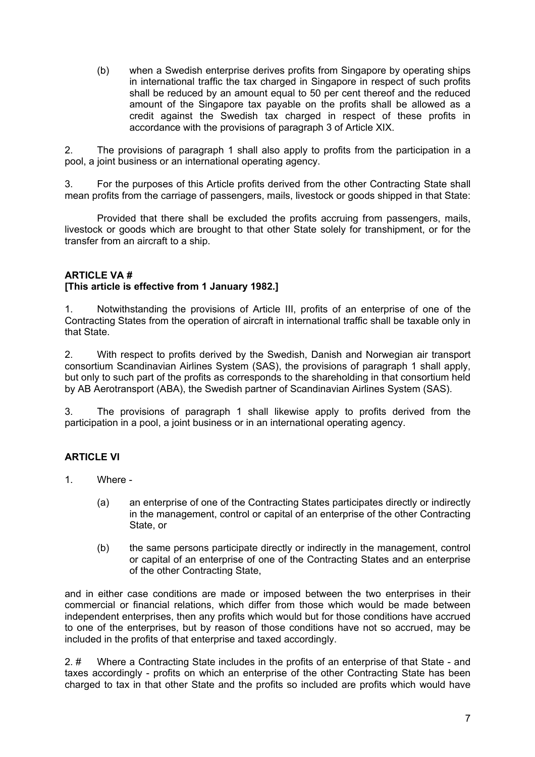(b) when a Swedish enterprise derives profits from Singapore by operating ships in international traffic the tax charged in Singapore in respect of such profits shall be reduced by an amount equal to 50 per cent thereof and the reduced amount of the Singapore tax payable on the profits shall be allowed as a credit against the Swedish tax charged in respect of these profits in accordance with the provisions of paragraph 3 of Article XIX.

2. The provisions of paragraph 1 shall also apply to profits from the participation in a pool, a joint business or an international operating agency.

3. For the purposes of this Article profits derived from the other Contracting State shall mean profits from the carriage of passengers, mails, livestock or goods shipped in that State:

Provided that there shall be excluded the profits accruing from passengers, mails, livestock or goods which are brought to that other State solely for transhipment, or for the transfer from an aircraft to a ship.

#### **ARTICLE VA #**

#### **[This article is effective from 1 January 1982.]**

1. Notwithstanding the provisions of Article III, profits of an enterprise of one of the Contracting States from the operation of aircraft in international traffic shall be taxable only in that State.

2. With respect to profits derived by the Swedish, Danish and Norwegian air transport consortium Scandinavian Airlines System (SAS), the provisions of paragraph 1 shall apply, but only to such part of the profits as corresponds to the shareholding in that consortium held by AB Aerotransport (ABA), the Swedish partner of Scandinavian Airlines System (SAS).

3. The provisions of paragraph 1 shall likewise apply to profits derived from the participation in a pool, a joint business or in an international operating agency.

## **ARTICLE VI**

- 1. Where
	- (a) an enterprise of one of the Contracting States participates directly or indirectly in the management, control or capital of an enterprise of the other Contracting State, or
	- (b) the same persons participate directly or indirectly in the management, control or capital of an enterprise of one of the Contracting States and an enterprise of the other Contracting State,

and in either case conditions are made or imposed between the two enterprises in their commercial or financial relations, which differ from those which would be made between independent enterprises, then any profits which would but for those conditions have accrued to one of the enterprises, but by reason of those conditions have not so accrued, may be included in the profits of that enterprise and taxed accordingly.

2. # Where a Contracting State includes in the profits of an enterprise of that State - and taxes accordingly - profits on which an enterprise of the other Contracting State has been charged to tax in that other State and the profits so included are profits which would have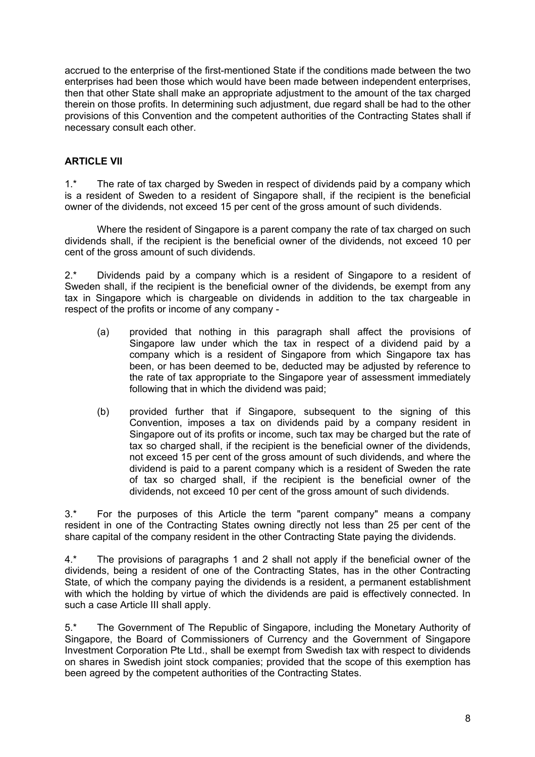accrued to the enterprise of the first-mentioned State if the conditions made between the two enterprises had been those which would have been made between independent enterprises, then that other State shall make an appropriate adjustment to the amount of the tax charged therein on those profits. In determining such adjustment, due regard shall be had to the other provisions of this Convention and the competent authorities of the Contracting States shall if necessary consult each other.

## **ARTICLE VII**

1.\* The rate of tax charged by Sweden in respect of dividends paid by a company which is a resident of Sweden to a resident of Singapore shall, if the recipient is the beneficial owner of the dividends, not exceed 15 per cent of the gross amount of such dividends.

Where the resident of Singapore is a parent company the rate of tax charged on such dividends shall, if the recipient is the beneficial owner of the dividends, not exceed 10 per cent of the gross amount of such dividends.

2<sup>\*</sup> Dividends paid by a company which is a resident of Singapore to a resident of Sweden shall, if the recipient is the beneficial owner of the dividends, be exempt from any tax in Singapore which is chargeable on dividends in addition to the tax chargeable in respect of the profits or income of any company -

- (a) provided that nothing in this paragraph shall affect the provisions of Singapore law under which the tax in respect of a dividend paid by a company which is a resident of Singapore from which Singapore tax has been, or has been deemed to be, deducted may be adjusted by reference to the rate of tax appropriate to the Singapore year of assessment immediately following that in which the dividend was paid;
- (b) provided further that if Singapore, subsequent to the signing of this Convention, imposes a tax on dividends paid by a company resident in Singapore out of its profits or income, such tax may be charged but the rate of tax so charged shall, if the recipient is the beneficial owner of the dividends, not exceed 15 per cent of the gross amount of such dividends, and where the dividend is paid to a parent company which is a resident of Sweden the rate of tax so charged shall, if the recipient is the beneficial owner of the dividends, not exceed 10 per cent of the gross amount of such dividends.

3.\* For the purposes of this Article the term "parent company" means a company resident in one of the Contracting States owning directly not less than 25 per cent of the share capital of the company resident in the other Contracting State paying the dividends.

4.\* The provisions of paragraphs 1 and 2 shall not apply if the beneficial owner of the dividends, being a resident of one of the Contracting States, has in the other Contracting State, of which the company paying the dividends is a resident, a permanent establishment with which the holding by virtue of which the dividends are paid is effectively connected. In such a case Article III shall apply.

5.\* The Government of The Republic of Singapore, including the Monetary Authority of Singapore, the Board of Commissioners of Currency and the Government of Singapore Investment Corporation Pte Ltd., shall be exempt from Swedish tax with respect to dividends on shares in Swedish joint stock companies; provided that the scope of this exemption has been agreed by the competent authorities of the Contracting States.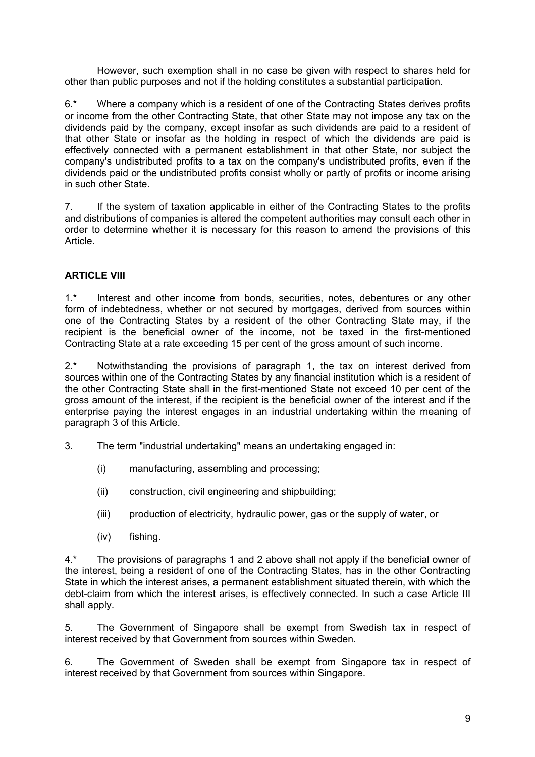However, such exemption shall in no case be given with respect to shares held for other than public purposes and not if the holding constitutes a substantial participation.

6.\* Where a company which is a resident of one of the Contracting States derives profits or income from the other Contracting State, that other State may not impose any tax on the dividends paid by the company, except insofar as such dividends are paid to a resident of that other State or insofar as the holding in respect of which the dividends are paid is effectively connected with a permanent establishment in that other State, nor subject the company's undistributed profits to a tax on the company's undistributed profits, even if the dividends paid or the undistributed profits consist wholly or partly of profits or income arising in such other State.

7. If the system of taxation applicable in either of the Contracting States to the profits and distributions of companies is altered the competent authorities may consult each other in order to determine whether it is necessary for this reason to amend the provisions of this Article.

## **ARTICLE VIII**

1.\* Interest and other income from bonds, securities, notes, debentures or any other form of indebtedness, whether or not secured by mortgages, derived from sources within one of the Contracting States by a resident of the other Contracting State may, if the recipient is the beneficial owner of the income, not be taxed in the first-mentioned Contracting State at a rate exceeding 15 per cent of the gross amount of such income.

2.\* Notwithstanding the provisions of paragraph 1, the tax on interest derived from sources within one of the Contracting States by any financial institution which is a resident of the other Contracting State shall in the first-mentioned State not exceed 10 per cent of the gross amount of the interest, if the recipient is the beneficial owner of the interest and if the enterprise paying the interest engages in an industrial undertaking within the meaning of paragraph 3 of this Article.

- 3. The term "industrial undertaking" means an undertaking engaged in:
	- (i) manufacturing, assembling and processing;
	- (ii) construction, civil engineering and shipbuilding;
	- (iii) production of electricity, hydraulic power, gas or the supply of water, or
	- (iv) fishing.

4.\* The provisions of paragraphs 1 and 2 above shall not apply if the beneficial owner of the interest, being a resident of one of the Contracting States, has in the other Contracting State in which the interest arises, a permanent establishment situated therein, with which the debt-claim from which the interest arises, is effectively connected. In such a case Article III shall apply.

5. The Government of Singapore shall be exempt from Swedish tax in respect of interest received by that Government from sources within Sweden.

6. The Government of Sweden shall be exempt from Singapore tax in respect of interest received by that Government from sources within Singapore.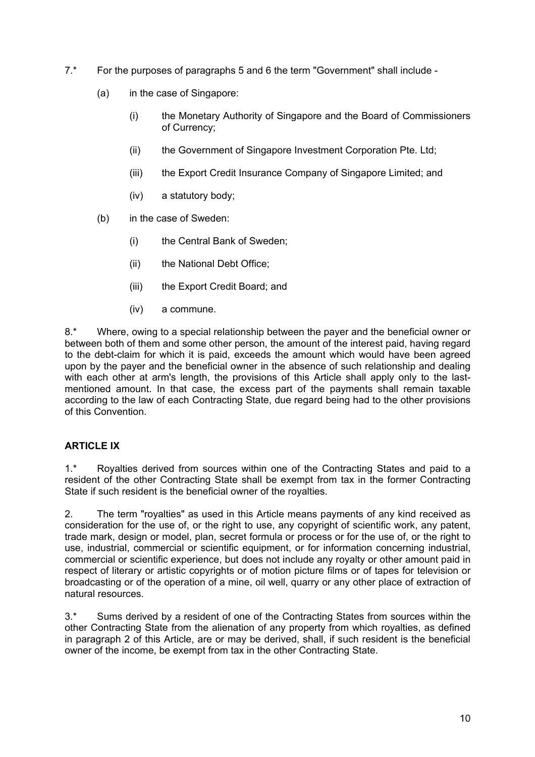- 7.\* For the purposes of paragraphs 5 and 6 the term "Government" shall include -
	- (a) in the case of Singapore:
		- (i) the Monetary Authority of Singapore and the Board of Commissioners of Currency;
		- (ii) the Government of Singapore Investment Corporation Pte. Ltd;
		- (iii) the Export Credit Insurance Company of Singapore Limited; and
		- (iv) a statutory body;
	- (b) in the case of Sweden:
		- (i) the Central Bank of Sweden;
		- (ii) the National Debt Office;
		- (iii) the Export Credit Board; and
		- (iv) a commune.

8.\* Where, owing to a special relationship between the payer and the beneficial owner or between both of them and some other person, the amount of the interest paid, having regard to the debt-claim for which it is paid, exceeds the amount which would have been agreed upon by the payer and the beneficial owner in the absence of such relationship and dealing with each other at arm's length, the provisions of this Article shall apply only to the lastmentioned amount. In that case, the excess part of the payments shall remain taxable according to the law of each Contracting State, due regard being had to the other provisions of this Convention.

## **ARTICLE IX**

1.\* Royalties derived from sources within one of the Contracting States and paid to a resident of the other Contracting State shall be exempt from tax in the former Contracting State if such resident is the beneficial owner of the royalties.

2. The term "royalties" as used in this Article means payments of any kind received as consideration for the use of, or the right to use, any copyright of scientific work, any patent, trade mark, design or model, plan, secret formula or process or for the use of, or the right to use, industrial, commercial or scientific equipment, or for information concerning industrial, commercial or scientific experience, but does not include any royalty or other amount paid in respect of literary or artistic copyrights or of motion picture films or of tapes for television or broadcasting or of the operation of a mine, oil well, quarry or any other place of extraction of natural resources.

3.\* Sums derived by a resident of one of the Contracting States from sources within the other Contracting State from the alienation of any property from which royalties, as defined in paragraph 2 of this Article, are or may be derived, shall, if such resident is the beneficial owner of the income, be exempt from tax in the other Contracting State.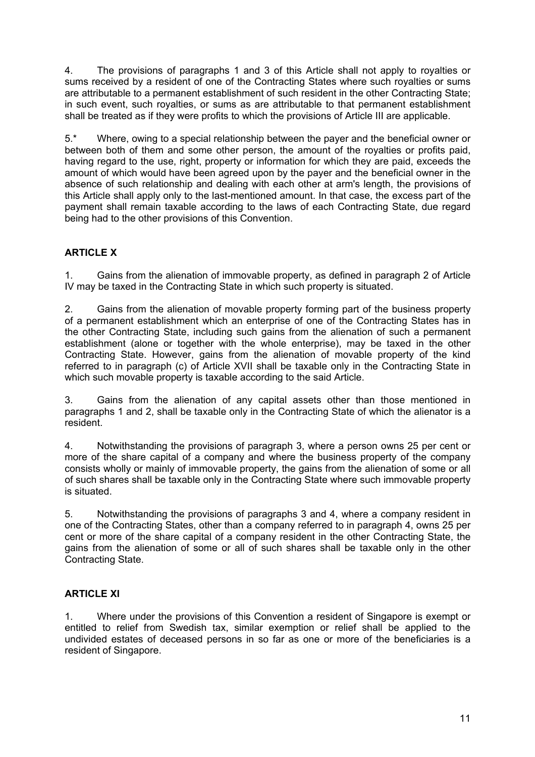4. The provisions of paragraphs 1 and 3 of this Article shall not apply to royalties or sums received by a resident of one of the Contracting States where such royalties or sums are attributable to a permanent establishment of such resident in the other Contracting State; in such event, such royalties, or sums as are attributable to that permanent establishment shall be treated as if they were profits to which the provisions of Article III are applicable.

5.\* Where, owing to a special relationship between the payer and the beneficial owner or between both of them and some other person, the amount of the royalties or profits paid, having regard to the use, right, property or information for which they are paid, exceeds the amount of which would have been agreed upon by the payer and the beneficial owner in the absence of such relationship and dealing with each other at arm's length, the provisions of this Article shall apply only to the last-mentioned amount. In that case, the excess part of the payment shall remain taxable according to the laws of each Contracting State, due regard being had to the other provisions of this Convention.

## **ARTICLE X**

1. Gains from the alienation of immovable property, as defined in paragraph 2 of Article IV may be taxed in the Contracting State in which such property is situated.

2. Gains from the alienation of movable property forming part of the business property of a permanent establishment which an enterprise of one of the Contracting States has in the other Contracting State, including such gains from the alienation of such a permanent establishment (alone or together with the whole enterprise), may be taxed in the other Contracting State. However, gains from the alienation of movable property of the kind referred to in paragraph (c) of Article XVII shall be taxable only in the Contracting State in which such movable property is taxable according to the said Article.

3. Gains from the alienation of any capital assets other than those mentioned in paragraphs 1 and 2, shall be taxable only in the Contracting State of which the alienator is a resident.

4. Notwithstanding the provisions of paragraph 3, where a person owns 25 per cent or more of the share capital of a company and where the business property of the company consists wholly or mainly of immovable property, the gains from the alienation of some or all of such shares shall be taxable only in the Contracting State where such immovable property is situated.

5. Notwithstanding the provisions of paragraphs 3 and 4, where a company resident in one of the Contracting States, other than a company referred to in paragraph 4, owns 25 per cent or more of the share capital of a company resident in the other Contracting State, the gains from the alienation of some or all of such shares shall be taxable only in the other Contracting State.

## **ARTICLE XI**

1. Where under the provisions of this Convention a resident of Singapore is exempt or entitled to relief from Swedish tax, similar exemption or relief shall be applied to the undivided estates of deceased persons in so far as one or more of the beneficiaries is a resident of Singapore.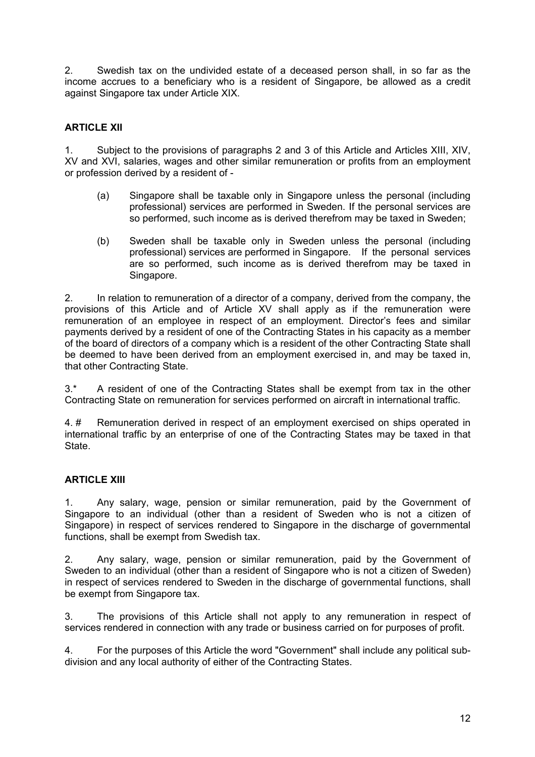2. Swedish tax on the undivided estate of a deceased person shall, in so far as the income accrues to a beneficiary who is a resident of Singapore, be allowed as a credit against Singapore tax under Article XIX.

## **ARTICLE XII**

1. Subject to the provisions of paragraphs 2 and 3 of this Article and Articles XIII, XIV, XV and XVI, salaries, wages and other similar remuneration or profits from an employment or profession derived by a resident of -

- (a) Singapore shall be taxable only in Singapore unless the personal (including professional) services are performed in Sweden. If the personal services are so performed, such income as is derived therefrom may be taxed in Sweden;
- (b) Sweden shall be taxable only in Sweden unless the personal (including professional) services are performed in Singapore. If the personal services are so performed, such income as is derived therefrom may be taxed in Singapore.

2. In relation to remuneration of a director of a company, derived from the company, the provisions of this Article and of Article XV shall apply as if the remuneration were remuneration of an employee in respect of an employment. Director's fees and similar payments derived by a resident of one of the Contracting States in his capacity as a member of the board of directors of a company which is a resident of the other Contracting State shall be deemed to have been derived from an employment exercised in, and may be taxed in, that other Contracting State.

3.\* A resident of one of the Contracting States shall be exempt from tax in the other Contracting State on remuneration for services performed on aircraft in international traffic.

4. # Remuneration derived in respect of an employment exercised on ships operated in international traffic by an enterprise of one of the Contracting States may be taxed in that State.

## **ARTICLE XIII**

1. Any salary, wage, pension or similar remuneration, paid by the Government of Singapore to an individual (other than a resident of Sweden who is not a citizen of Singapore) in respect of services rendered to Singapore in the discharge of governmental functions, shall be exempt from Swedish tax.

2. Any salary, wage, pension or similar remuneration, paid by the Government of Sweden to an individual (other than a resident of Singapore who is not a citizen of Sweden) in respect of services rendered to Sweden in the discharge of governmental functions, shall be exempt from Singapore tax.

3. The provisions of this Article shall not apply to any remuneration in respect of services rendered in connection with any trade or business carried on for purposes of profit.

4. For the purposes of this Article the word "Government" shall include any political subdivision and any local authority of either of the Contracting States.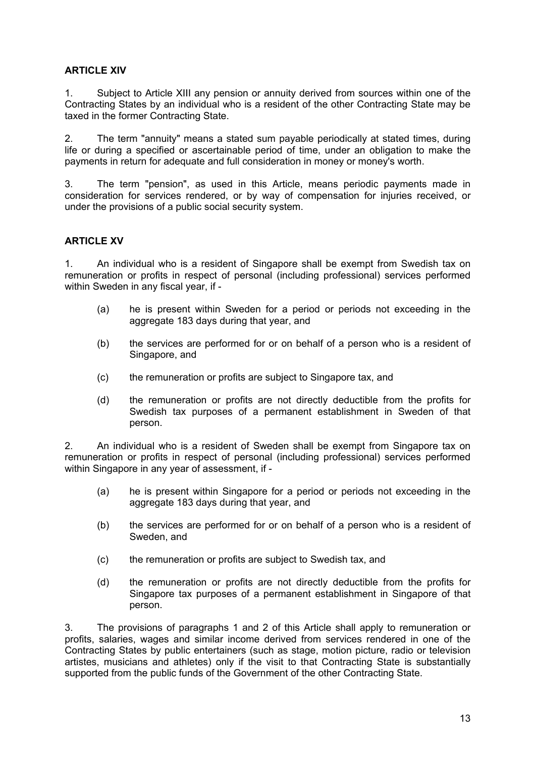## **ARTICLE XIV**

1. Subject to Article XIII any pension or annuity derived from sources within one of the Contracting States by an individual who is a resident of the other Contracting State may be taxed in the former Contracting State.

2. The term "annuity" means a stated sum payable periodically at stated times, during life or during a specified or ascertainable period of time, under an obligation to make the payments in return for adequate and full consideration in money or money's worth.

3. The term "pension", as used in this Article, means periodic payments made in consideration for services rendered, or by way of compensation for injuries received, or under the provisions of a public social security system.

#### **ARTICLE XV**

1. An individual who is a resident of Singapore shall be exempt from Swedish tax on remuneration or profits in respect of personal (including professional) services performed within Sweden in any fiscal year, if -

- (a) he is present within Sweden for a period or periods not exceeding in the aggregate 183 days during that year, and
- (b) the services are performed for or on behalf of a person who is a resident of Singapore, and
- (c) the remuneration or profits are subject to Singapore tax, and
- (d) the remuneration or profits are not directly deductible from the profits for Swedish tax purposes of a permanent establishment in Sweden of that person.

2. An individual who is a resident of Sweden shall be exempt from Singapore tax on remuneration or profits in respect of personal (including professional) services performed within Singapore in any year of assessment, if -

- (a) he is present within Singapore for a period or periods not exceeding in the aggregate 183 days during that year, and
- (b) the services are performed for or on behalf of a person who is a resident of Sweden, and
- (c) the remuneration or profits are subject to Swedish tax, and
- (d) the remuneration or profits are not directly deductible from the profits for Singapore tax purposes of a permanent establishment in Singapore of that person.

3. The provisions of paragraphs 1 and 2 of this Article shall apply to remuneration or profits, salaries, wages and similar income derived from services rendered in one of the Contracting States by public entertainers (such as stage, motion picture, radio or television artistes, musicians and athletes) only if the visit to that Contracting State is substantially supported from the public funds of the Government of the other Contracting State.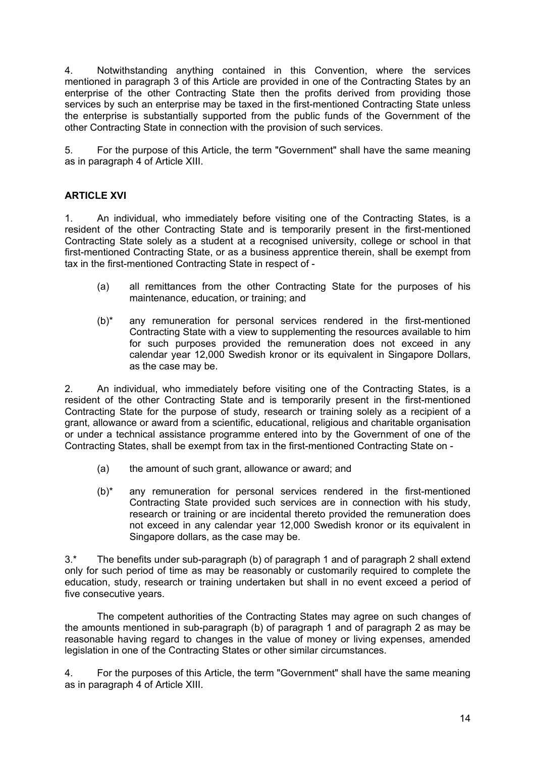4. Notwithstanding anything contained in this Convention, where the services mentioned in paragraph 3 of this Article are provided in one of the Contracting States by an enterprise of the other Contracting State then the profits derived from providing those services by such an enterprise may be taxed in the first-mentioned Contracting State unless the enterprise is substantially supported from the public funds of the Government of the other Contracting State in connection with the provision of such services.

5. For the purpose of this Article, the term "Government" shall have the same meaning as in paragraph 4 of Article XIII.

## **ARTICLE XVI**

1. An individual, who immediately before visiting one of the Contracting States, is a resident of the other Contracting State and is temporarily present in the first-mentioned Contracting State solely as a student at a recognised university, college or school in that first-mentioned Contracting State, or as a business apprentice therein, shall be exempt from tax in the first-mentioned Contracting State in respect of -

- (a) all remittances from the other Contracting State for the purposes of his maintenance, education, or training; and
- (b)\* any remuneration for personal services rendered in the first-mentioned Contracting State with a view to supplementing the resources available to him for such purposes provided the remuneration does not exceed in any calendar year 12,000 Swedish kronor or its equivalent in Singapore Dollars, as the case may be.

2. An individual, who immediately before visiting one of the Contracting States, is a resident of the other Contracting State and is temporarily present in the first-mentioned Contracting State for the purpose of study, research or training solely as a recipient of a grant, allowance or award from a scientific, educational, religious and charitable organisation or under a technical assistance programme entered into by the Government of one of the Contracting States, shall be exempt from tax in the first-mentioned Contracting State on -

- (a) the amount of such grant, allowance or award; and
- (b)\* any remuneration for personal services rendered in the first-mentioned Contracting State provided such services are in connection with his study, research or training or are incidental thereto provided the remuneration does not exceed in any calendar year 12,000 Swedish kronor or its equivalent in Singapore dollars, as the case may be.

3.\* The benefits under sub-paragraph (b) of paragraph 1 and of paragraph 2 shall extend only for such period of time as may be reasonably or customarily required to complete the education, study, research or training undertaken but shall in no event exceed a period of five consecutive years.

The competent authorities of the Contracting States may agree on such changes of the amounts mentioned in sub-paragraph (b) of paragraph 1 and of paragraph 2 as may be reasonable having regard to changes in the value of money or living expenses, amended legislation in one of the Contracting States or other similar circumstances.

4. For the purposes of this Article, the term "Government" shall have the same meaning as in paragraph 4 of Article XIII.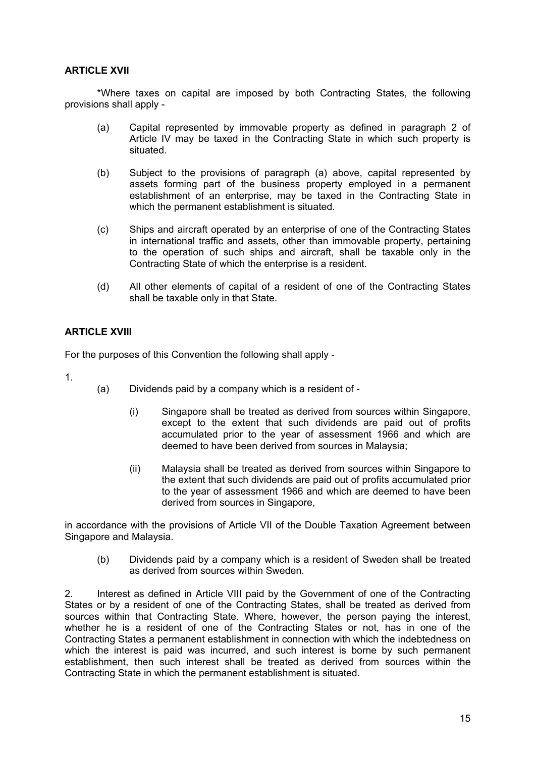#### **ARTICLE XVII**

\*Where taxes on capital are imposed by both Contracting States, the following provisions shall apply -

- (a) Capital represented by immovable property as defined in paragraph 2 of Article IV may be taxed in the Contracting State in which such property is situated.
- (b) Subject to the provisions of paragraph (a) above, capital represented by assets forming part of the business property employed in a permanent establishment of an enterprise, may be taxed in the Contracting State in which the permanent establishment is situated.
- (c) Ships and aircraft operated by an enterprise of one of the Contracting States in international traffic and assets, other than immovable property, pertaining to the operation of such ships and aircraft, shall be taxable only in the Contracting State of which the enterprise is a resident.
- (d) All other elements of capital of a resident of one of the Contracting States shall be taxable only in that State.

## **ARTICLE XVIII**

For the purposes of this Convention the following shall apply -

- 1.
- (a) Dividends paid by a company which is a resident of
	- (i) Singapore shall be treated as derived from sources within Singapore, except to the extent that such dividends are paid out of profits accumulated prior to the year of assessment 1966 and which are deemed to have been derived from sources in Malaysia;
	- (ii) Malaysia shall be treated as derived from sources within Singapore to the extent that such dividends are paid out of profits accumulated prior to the year of assessment 1966 and which are deemed to have been derived from sources in Singapore,

in accordance with the provisions of Article VII of the Double Taxation Agreement between Singapore and Malaysia.

(b) Dividends paid by a company which is a resident of Sweden shall be treated as derived from sources within Sweden.

2. Interest as defined in Article VIII paid by the Government of one of the Contracting States or by a resident of one of the Contracting States, shall be treated as derived from sources within that Contracting State. Where, however, the person paying the interest, whether he is a resident of one of the Contracting States or not, has in one of the Contracting States a permanent establishment in connection with which the indebtedness on which the interest is paid was incurred, and such interest is borne by such permanent establishment, then such interest shall be treated as derived from sources within the Contracting State in which the permanent establishment is situated.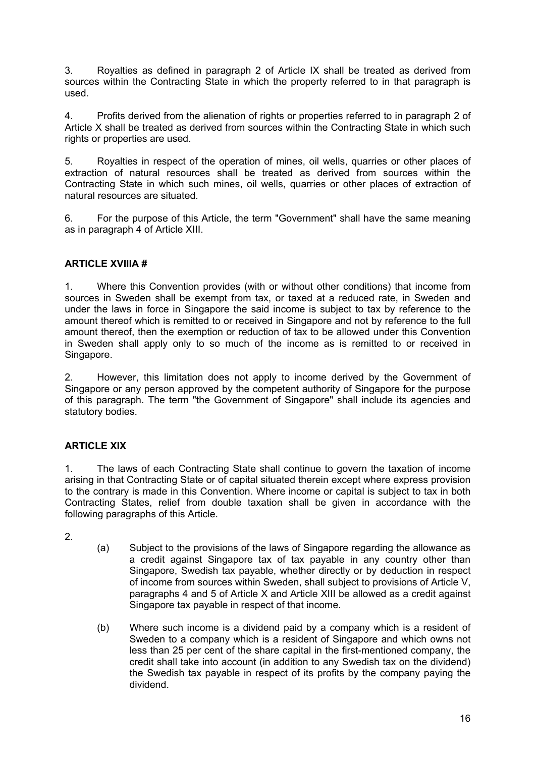3. Royalties as defined in paragraph 2 of Article IX shall be treated as derived from sources within the Contracting State in which the property referred to in that paragraph is used.

4. Profits derived from the alienation of rights or properties referred to in paragraph 2 of Article X shall be treated as derived from sources within the Contracting State in which such rights or properties are used.

5. Royalties in respect of the operation of mines, oil wells, quarries or other places of extraction of natural resources shall be treated as derived from sources within the Contracting State in which such mines, oil wells, quarries or other places of extraction of natural resources are situated.

6. For the purpose of this Article, the term "Government" shall have the same meaning as in paragraph 4 of Article XIII.

## **ARTICLE XVIIIA #**

1. Where this Convention provides (with or without other conditions) that income from sources in Sweden shall be exempt from tax, or taxed at a reduced rate, in Sweden and under the laws in force in Singapore the said income is subject to tax by reference to the amount thereof which is remitted to or received in Singapore and not by reference to the full amount thereof, then the exemption or reduction of tax to be allowed under this Convention in Sweden shall apply only to so much of the income as is remitted to or received in Singapore.

2. However, this limitation does not apply to income derived by the Government of Singapore or any person approved by the competent authority of Singapore for the purpose of this paragraph. The term "the Government of Singapore" shall include its agencies and statutory bodies.

## **ARTICLE XIX**

1. The laws of each Contracting State shall continue to govern the taxation of income arising in that Contracting State or of capital situated therein except where express provision to the contrary is made in this Convention. Where income or capital is subject to tax in both Contracting States, relief from double taxation shall be given in accordance with the following paragraphs of this Article.

2.

- (a) Subject to the provisions of the laws of Singapore regarding the allowance as a credit against Singapore tax of tax payable in any country other than Singapore, Swedish tax payable, whether directly or by deduction in respect of income from sources within Sweden, shall subject to provisions of Article V, paragraphs 4 and 5 of Article X and Article XIII be allowed as a credit against Singapore tax payable in respect of that income.
- (b) Where such income is a dividend paid by a company which is a resident of Sweden to a company which is a resident of Singapore and which owns not less than 25 per cent of the share capital in the first-mentioned company, the credit shall take into account (in addition to any Swedish tax on the dividend) the Swedish tax payable in respect of its profits by the company paying the dividend.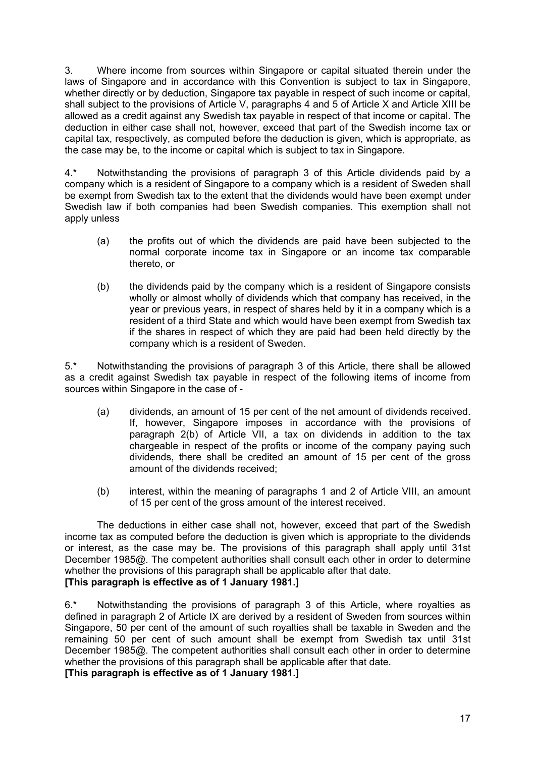3. Where income from sources within Singapore or capital situated therein under the laws of Singapore and in accordance with this Convention is subject to tax in Singapore, whether directly or by deduction, Singapore tax payable in respect of such income or capital, shall subject to the provisions of Article V, paragraphs 4 and 5 of Article X and Article XIII be allowed as a credit against any Swedish tax payable in respect of that income or capital. The deduction in either case shall not, however, exceed that part of the Swedish income tax or capital tax, respectively, as computed before the deduction is given, which is appropriate, as the case may be, to the income or capital which is subject to tax in Singapore.

4.\* Notwithstanding the provisions of paragraph 3 of this Article dividends paid by a company which is a resident of Singapore to a company which is a resident of Sweden shall be exempt from Swedish tax to the extent that the dividends would have been exempt under Swedish law if both companies had been Swedish companies. This exemption shall not apply unless

- (a) the profits out of which the dividends are paid have been subjected to the normal corporate income tax in Singapore or an income tax comparable thereto, or
- (b) the dividends paid by the company which is a resident of Singapore consists wholly or almost wholly of dividends which that company has received, in the year or previous years, in respect of shares held by it in a company which is a resident of a third State and which would have been exempt from Swedish tax if the shares in respect of which they are paid had been held directly by the company which is a resident of Sweden.

5.\* Notwithstanding the provisions of paragraph 3 of this Article, there shall be allowed as a credit against Swedish tax payable in respect of the following items of income from sources within Singapore in the case of -

- (a) dividends, an amount of 15 per cent of the net amount of dividends received. If, however, Singapore imposes in accordance with the provisions of paragraph 2(b) of Article VII, a tax on dividends in addition to the tax chargeable in respect of the profits or income of the company paying such dividends, there shall be credited an amount of 15 per cent of the gross amount of the dividends received;
- (b) interest, within the meaning of paragraphs 1 and 2 of Article VIII, an amount of 15 per cent of the gross amount of the interest received.

The deductions in either case shall not, however, exceed that part of the Swedish income tax as computed before the deduction is given which is appropriate to the dividends or interest, as the case may be. The provisions of this paragraph shall apply until 31st December 1985@. The competent authorities shall consult each other in order to determine whether the provisions of this paragraph shall be applicable after that date. **[This paragraph is effective as of 1 January 1981.]** 

6.\* Notwithstanding the provisions of paragraph 3 of this Article, where royalties as defined in paragraph 2 of Article IX are derived by a resident of Sweden from sources within Singapore, 50 per cent of the amount of such royalties shall be taxable in Sweden and the remaining 50 per cent of such amount shall be exempt from Swedish tax until 31st December 1985@. The competent authorities shall consult each other in order to determine whether the provisions of this paragraph shall be applicable after that date.

**[This paragraph is effective as of 1 January 1981.]**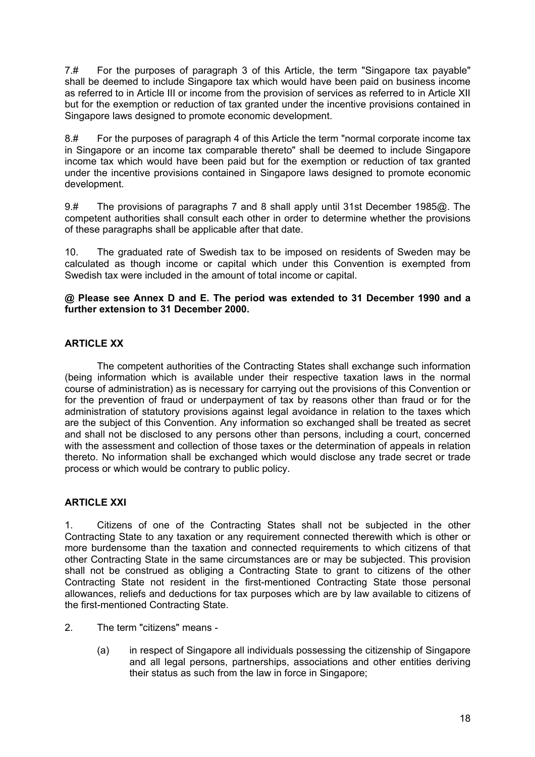7.# For the purposes of paragraph 3 of this Article, the term "Singapore tax payable" shall be deemed to include Singapore tax which would have been paid on business income as referred to in Article III or income from the provision of services as referred to in Article XII but for the exemption or reduction of tax granted under the incentive provisions contained in Singapore laws designed to promote economic development.

8.# For the purposes of paragraph 4 of this Article the term "normal corporate income tax in Singapore or an income tax comparable thereto" shall be deemed to include Singapore income tax which would have been paid but for the exemption or reduction of tax granted under the incentive provisions contained in Singapore laws designed to promote economic development.

9.# The provisions of paragraphs 7 and 8 shall apply until 31st December 1985@. The competent authorities shall consult each other in order to determine whether the provisions of these paragraphs shall be applicable after that date.

10. The graduated rate of Swedish tax to be imposed on residents of Sweden may be calculated as though income or capital which under this Convention is exempted from Swedish tax were included in the amount of total income or capital.

#### **@ Please see Annex D and E. The period was extended to 31 December 1990 and a further extension to 31 December 2000.**

## **ARTICLE XX**

The competent authorities of the Contracting States shall exchange such information (being information which is available under their respective taxation laws in the normal course of administration) as is necessary for carrying out the provisions of this Convention or for the prevention of fraud or underpayment of tax by reasons other than fraud or for the administration of statutory provisions against legal avoidance in relation to the taxes which are the subject of this Convention. Any information so exchanged shall be treated as secret and shall not be disclosed to any persons other than persons, including a court, concerned with the assessment and collection of those taxes or the determination of appeals in relation thereto. No information shall be exchanged which would disclose any trade secret or trade process or which would be contrary to public policy.

## **ARTICLE XXI**

1. Citizens of one of the Contracting States shall not be subjected in the other Contracting State to any taxation or any requirement connected therewith which is other or more burdensome than the taxation and connected requirements to which citizens of that other Contracting State in the same circumstances are or may be subjected. This provision shall not be construed as obliging a Contracting State to grant to citizens of the other Contracting State not resident in the first-mentioned Contracting State those personal allowances, reliefs and deductions for tax purposes which are by law available to citizens of the first-mentioned Contracting State.

- 2. The term "citizens" means
	- (a) in respect of Singapore all individuals possessing the citizenship of Singapore and all legal persons, partnerships, associations and other entities deriving their status as such from the law in force in Singapore;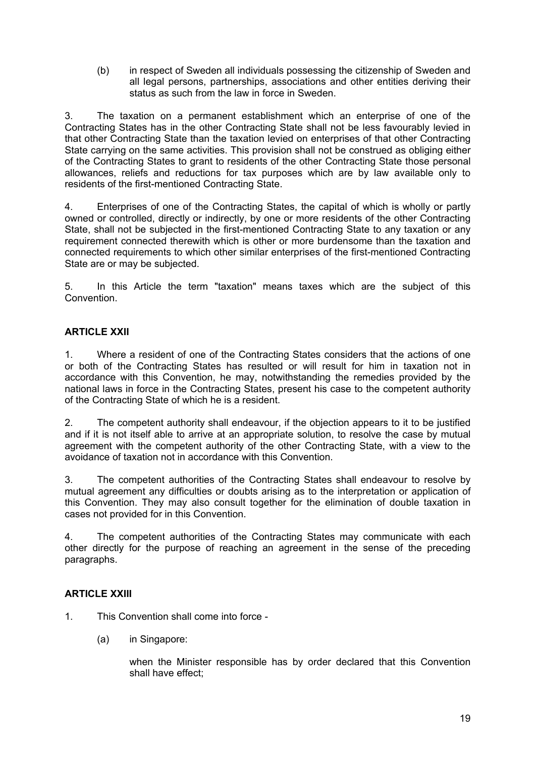(b) in respect of Sweden all individuals possessing the citizenship of Sweden and all legal persons, partnerships, associations and other entities deriving their status as such from the law in force in Sweden.

3. The taxation on a permanent establishment which an enterprise of one of the Contracting States has in the other Contracting State shall not be less favourably levied in that other Contracting State than the taxation levied on enterprises of that other Contracting State carrying on the same activities. This provision shall not be construed as obliging either of the Contracting States to grant to residents of the other Contracting State those personal allowances, reliefs and reductions for tax purposes which are by law available only to residents of the first-mentioned Contracting State.

4. Enterprises of one of the Contracting States, the capital of which is wholly or partly owned or controlled, directly or indirectly, by one or more residents of the other Contracting State, shall not be subjected in the first-mentioned Contracting State to any taxation or any requirement connected therewith which is other or more burdensome than the taxation and connected requirements to which other similar enterprises of the first-mentioned Contracting State are or may be subjected.

5. In this Article the term "taxation" means taxes which are the subject of this Convention.

## **ARTICLE XXII**

1. Where a resident of one of the Contracting States considers that the actions of one or both of the Contracting States has resulted or will result for him in taxation not in accordance with this Convention, he may, notwithstanding the remedies provided by the national laws in force in the Contracting States, present his case to the competent authority of the Contracting State of which he is a resident.

2. The competent authority shall endeavour, if the objection appears to it to be justified and if it is not itself able to arrive at an appropriate solution, to resolve the case by mutual agreement with the competent authority of the other Contracting State, with a view to the avoidance of taxation not in accordance with this Convention.

3. The competent authorities of the Contracting States shall endeavour to resolve by mutual agreement any difficulties or doubts arising as to the interpretation or application of this Convention. They may also consult together for the elimination of double taxation in cases not provided for in this Convention.

4. The competent authorities of the Contracting States may communicate with each other directly for the purpose of reaching an agreement in the sense of the preceding paragraphs.

## **ARTICLE XXIII**

- 1. This Convention shall come into force
	- (a) in Singapore:

when the Minister responsible has by order declared that this Convention shall have effect;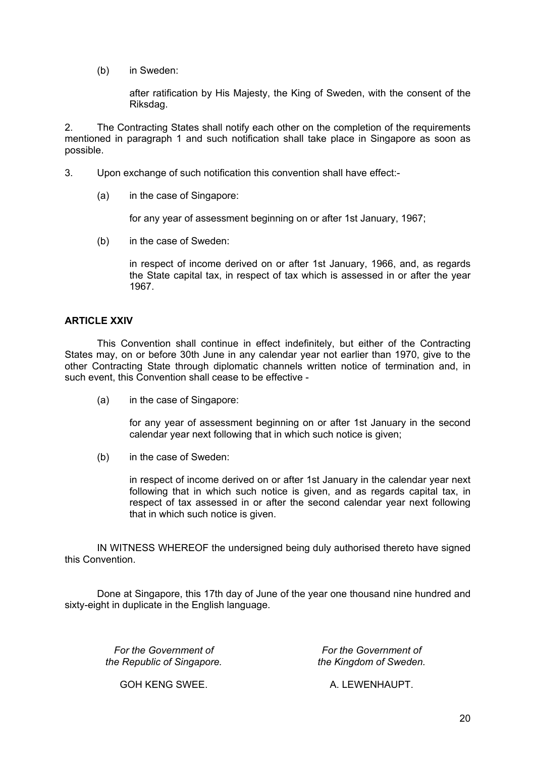(b) in Sweden:

after ratification by His Majesty, the King of Sweden, with the consent of the Riksdag.

2. The Contracting States shall notify each other on the completion of the requirements mentioned in paragraph 1 and such notification shall take place in Singapore as soon as possible.

- 3. Upon exchange of such notification this convention shall have effect:-
	- (a) in the case of Singapore:

for any year of assessment beginning on or after 1st January, 1967;

(b) in the case of Sweden:

in respect of income derived on or after 1st January, 1966, and, as regards the State capital tax, in respect of tax which is assessed in or after the year 1967.

#### **ARTICLE XXIV**

This Convention shall continue in effect indefinitely, but either of the Contracting States may, on or before 30th June in any calendar year not earlier than 1970, give to the other Contracting State through diplomatic channels written notice of termination and, in such event, this Convention shall cease to be effective -

(a) in the case of Singapore:

for any year of assessment beginning on or after 1st January in the second calendar year next following that in which such notice is given;

(b) in the case of Sweden:

in respect of income derived on or after 1st January in the calendar year next following that in which such notice is given, and as regards capital tax, in respect of tax assessed in or after the second calendar year next following that in which such notice is given.

IN WITNESS WHEREOF the undersigned being duly authorised thereto have signed this Convention.

Done at Singapore, this 17th day of June of the year one thousand nine hundred and sixty-eight in duplicate in the English language.

*For the Government of the Republic of Singapore.* 

*For the Government of the Kingdom of Sweden.* 

GOH KENG SWEE. A. LEWENHAUPT.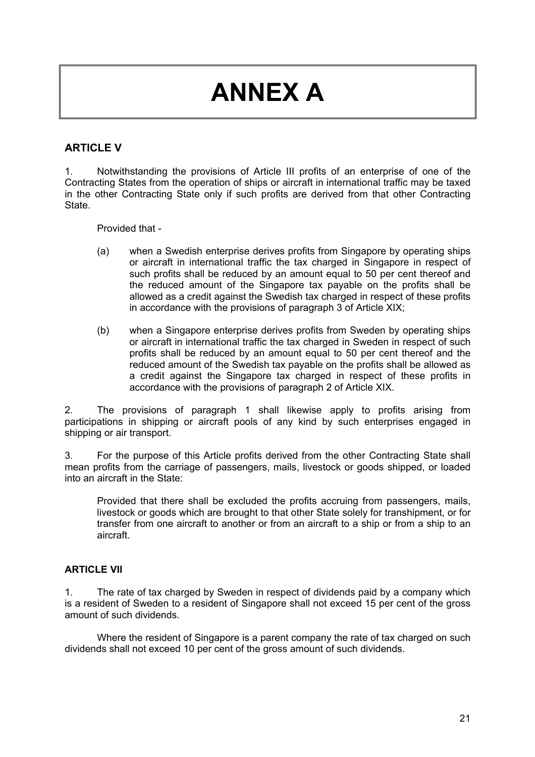# **ANNEX A**

## **ARTICLE V**

1. Notwithstanding the provisions of Article III profits of an enterprise of one of the Contracting States from the operation of ships or aircraft in international traffic may be taxed in the other Contracting State only if such profits are derived from that other Contracting State.

Provided that -

- (a) when a Swedish enterprise derives profits from Singapore by operating ships or aircraft in international traffic the tax charged in Singapore in respect of such profits shall be reduced by an amount equal to 50 per cent thereof and the reduced amount of the Singapore tax payable on the profits shall be allowed as a credit against the Swedish tax charged in respect of these profits in accordance with the provisions of paragraph 3 of Article XIX;
- (b) when a Singapore enterprise derives profits from Sweden by operating ships or aircraft in international traffic the tax charged in Sweden in respect of such profits shall be reduced by an amount equal to 50 per cent thereof and the reduced amount of the Swedish tax payable on the profits shall be allowed as a credit against the Singapore tax charged in respect of these profits in accordance with the provisions of paragraph 2 of Article XIX.

2. The provisions of paragraph 1 shall likewise apply to profits arising from participations in shipping or aircraft pools of any kind by such enterprises engaged in shipping or air transport.

3. For the purpose of this Article profits derived from the other Contracting State shall mean profits from the carriage of passengers, mails, livestock or goods shipped, or loaded into an aircraft in the State:

Provided that there shall be excluded the profits accruing from passengers, mails, livestock or goods which are brought to that other State solely for transhipment, or for transfer from one aircraft to another or from an aircraft to a ship or from a ship to an aircraft.

#### **ARTICLE VII**

1. The rate of tax charged by Sweden in respect of dividends paid by a company which is a resident of Sweden to a resident of Singapore shall not exceed 15 per cent of the gross amount of such dividends.

Where the resident of Singapore is a parent company the rate of tax charged on such dividends shall not exceed 10 per cent of the gross amount of such dividends.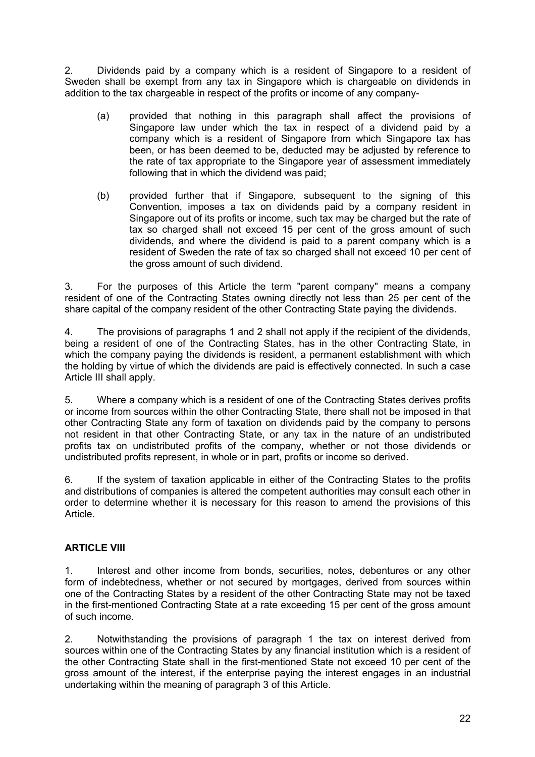2. Dividends paid by a company which is a resident of Singapore to a resident of Sweden shall be exempt from any tax in Singapore which is chargeable on dividends in addition to the tax chargeable in respect of the profits or income of any company-

- (a) provided that nothing in this paragraph shall affect the provisions of Singapore law under which the tax in respect of a dividend paid by a company which is a resident of Singapore from which Singapore tax has been, or has been deemed to be, deducted may be adjusted by reference to the rate of tax appropriate to the Singapore year of assessment immediately following that in which the dividend was paid;
- (b) provided further that if Singapore, subsequent to the signing of this Convention, imposes a tax on dividends paid by a company resident in Singapore out of its profits or income, such tax may be charged but the rate of tax so charged shall not exceed 15 per cent of the gross amount of such dividends, and where the dividend is paid to a parent company which is a resident of Sweden the rate of tax so charged shall not exceed 10 per cent of the gross amount of such dividend.

3. For the purposes of this Article the term "parent company" means a company resident of one of the Contracting States owning directly not less than 25 per cent of the share capital of the company resident of the other Contracting State paying the dividends.

4. The provisions of paragraphs 1 and 2 shall not apply if the recipient of the dividends, being a resident of one of the Contracting States, has in the other Contracting State, in which the company paying the dividends is resident, a permanent establishment with which the holding by virtue of which the dividends are paid is effectively connected. In such a case Article III shall apply.

5. Where a company which is a resident of one of the Contracting States derives profits or income from sources within the other Contracting State, there shall not be imposed in that other Contracting State any form of taxation on dividends paid by the company to persons not resident in that other Contracting State, or any tax in the nature of an undistributed profits tax on undistributed profits of the company, whether or not those dividends or undistributed profits represent, in whole or in part, profits or income so derived.

6. If the system of taxation applicable in either of the Contracting States to the profits and distributions of companies is altered the competent authorities may consult each other in order to determine whether it is necessary for this reason to amend the provisions of this Article.

## **ARTICLE VIII**

1. Interest and other income from bonds, securities, notes, debentures or any other form of indebtedness, whether or not secured by mortgages, derived from sources within one of the Contracting States by a resident of the other Contracting State may not be taxed in the first-mentioned Contracting State at a rate exceeding 15 per cent of the gross amount of such income.

2. Notwithstanding the provisions of paragraph 1 the tax on interest derived from sources within one of the Contracting States by any financial institution which is a resident of the other Contracting State shall in the first-mentioned State not exceed 10 per cent of the gross amount of the interest, if the enterprise paying the interest engages in an industrial undertaking within the meaning of paragraph 3 of this Article.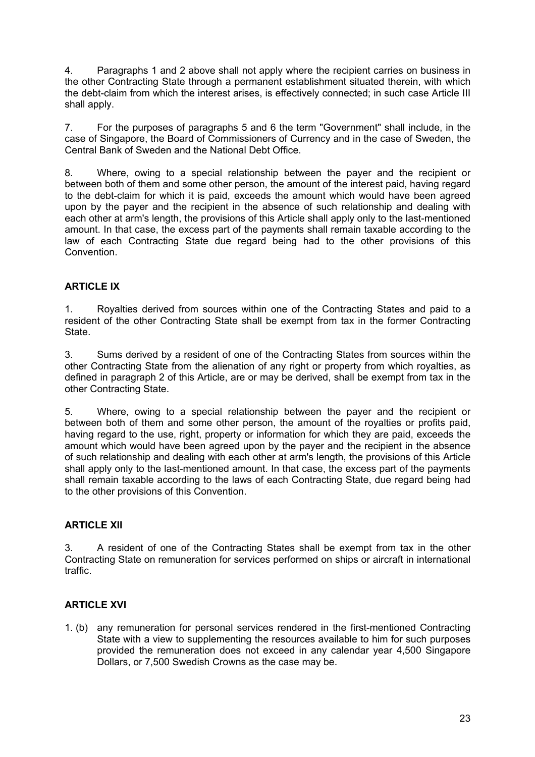4. Paragraphs 1 and 2 above shall not apply where the recipient carries on business in the other Contracting State through a permanent establishment situated therein, with which the debt-claim from which the interest arises, is effectively connected; in such case Article III shall apply.

7. For the purposes of paragraphs 5 and 6 the term "Government" shall include, in the case of Singapore, the Board of Commissioners of Currency and in the case of Sweden, the Central Bank of Sweden and the National Debt Office.

8. Where, owing to a special relationship between the payer and the recipient or between both of them and some other person, the amount of the interest paid, having regard to the debt-claim for which it is paid, exceeds the amount which would have been agreed upon by the payer and the recipient in the absence of such relationship and dealing with each other at arm's length, the provisions of this Article shall apply only to the last-mentioned amount. In that case, the excess part of the payments shall remain taxable according to the law of each Contracting State due regard being had to the other provisions of this Convention.

## **ARTICLE IX**

1. Royalties derived from sources within one of the Contracting States and paid to a resident of the other Contracting State shall be exempt from tax in the former Contracting State.

3. Sums derived by a resident of one of the Contracting States from sources within the other Contracting State from the alienation of any right or property from which royalties, as defined in paragraph 2 of this Article, are or may be derived, shall be exempt from tax in the other Contracting State.

5. Where, owing to a special relationship between the payer and the recipient or between both of them and some other person, the amount of the royalties or profits paid, having regard to the use, right, property or information for which they are paid, exceeds the amount which would have been agreed upon by the payer and the recipient in the absence of such relationship and dealing with each other at arm's length, the provisions of this Article shall apply only to the last-mentioned amount. In that case, the excess part of the payments shall remain taxable according to the laws of each Contracting State, due regard being had to the other provisions of this Convention.

## **ARTICLE XII**

3. A resident of one of the Contracting States shall be exempt from tax in the other Contracting State on remuneration for services performed on ships or aircraft in international traffic.

## **ARTICLE XVI**

1. (b) any remuneration for personal services rendered in the first-mentioned Contracting State with a view to supplementing the resources available to him for such purposes provided the remuneration does not exceed in any calendar year 4,500 Singapore Dollars, or 7,500 Swedish Crowns as the case may be.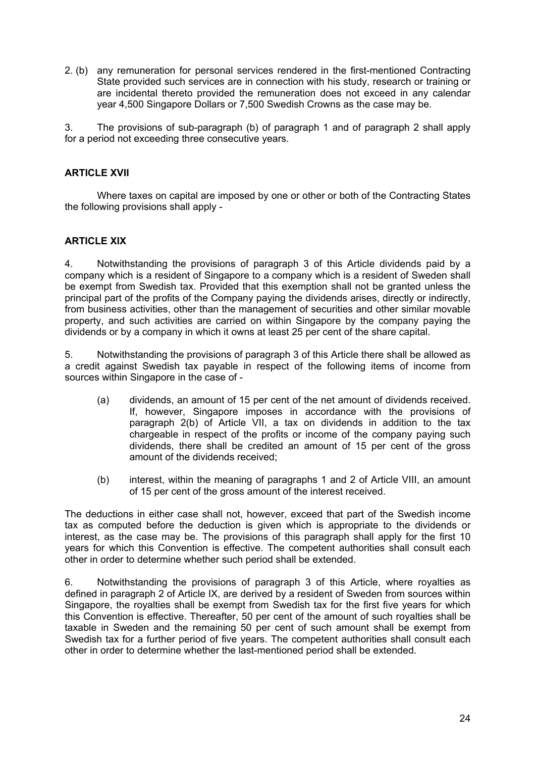2. (b) any remuneration for personal services rendered in the first-mentioned Contracting State provided such services are in connection with his study, research or training or are incidental thereto provided the remuneration does not exceed in any calendar year 4,500 Singapore Dollars or 7,500 Swedish Crowns as the case may be.

3. The provisions of sub-paragraph (b) of paragraph 1 and of paragraph 2 shall apply for a period not exceeding three consecutive years.

#### **ARTICLE XVII**

Where taxes on capital are imposed by one or other or both of the Contracting States the following provisions shall apply -

#### **ARTICLE XIX**

4. Notwithstanding the provisions of paragraph 3 of this Article dividends paid by a company which is a resident of Singapore to a company which is a resident of Sweden shall be exempt from Swedish tax. Provided that this exemption shall not be granted unless the principal part of the profits of the Company paying the dividends arises, directly or indirectly, from business activities, other than the management of securities and other similar movable property, and such activities are carried on within Singapore by the company paying the dividends or by a company in which it owns at least 25 per cent of the share capital.

5. Notwithstanding the provisions of paragraph 3 of this Article there shall be allowed as a credit against Swedish tax payable in respect of the following items of income from sources within Singapore in the case of -

- (a) dividends, an amount of 15 per cent of the net amount of dividends received. If, however, Singapore imposes in accordance with the provisions of paragraph 2(b) of Article VII, a tax on dividends in addition to the tax chargeable in respect of the profits or income of the company paying such dividends, there shall be credited an amount of 15 per cent of the gross amount of the dividends received;
- (b) interest, within the meaning of paragraphs 1 and 2 of Article VIII, an amount of 15 per cent of the gross amount of the interest received.

The deductions in either case shall not, however, exceed that part of the Swedish income tax as computed before the deduction is given which is appropriate to the dividends or interest, as the case may be. The provisions of this paragraph shall apply for the first 10 years for which this Convention is effective. The competent authorities shall consult each other in order to determine whether such period shall be extended.

6. Notwithstanding the provisions of paragraph 3 of this Article, where royalties as defined in paragraph 2 of Article IX, are derived by a resident of Sweden from sources within Singapore, the royalties shall be exempt from Swedish tax for the first five years for which this Convention is effective. Thereafter, 50 per cent of the amount of such royalties shall be taxable in Sweden and the remaining 50 per cent of such amount shall be exempt from Swedish tax for a further period of five years. The competent authorities shall consult each other in order to determine whether the last-mentioned period shall be extended.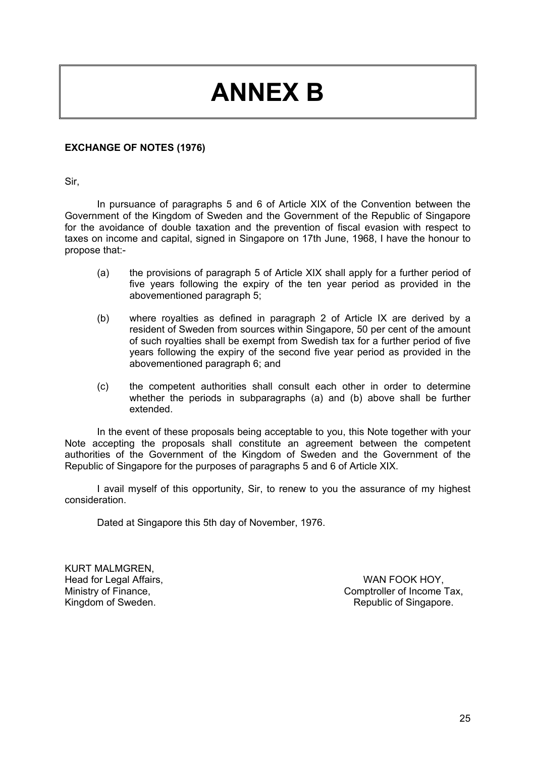## **ANNEX B**

#### **EXCHANGE OF NOTES (1976)**

Sir,

In pursuance of paragraphs 5 and 6 of Article XIX of the Convention between the Government of the Kingdom of Sweden and the Government of the Republic of Singapore for the avoidance of double taxation and the prevention of fiscal evasion with respect to taxes on income and capital, signed in Singapore on 17th June, 1968, I have the honour to propose that:-

- (a) the provisions of paragraph 5 of Article XIX shall apply for a further period of five years following the expiry of the ten year period as provided in the abovementioned paragraph 5;
- (b) where royalties as defined in paragraph 2 of Article IX are derived by a resident of Sweden from sources within Singapore, 50 per cent of the amount of such royalties shall be exempt from Swedish tax for a further period of five years following the expiry of the second five year period as provided in the abovementioned paragraph 6; and
- (c) the competent authorities shall consult each other in order to determine whether the periods in subparagraphs (a) and (b) above shall be further extended.

In the event of these proposals being acceptable to you, this Note together with your Note accepting the proposals shall constitute an agreement between the competent authorities of the Government of the Kingdom of Sweden and the Government of the Republic of Singapore for the purposes of paragraphs 5 and 6 of Article XIX.

I avail myself of this opportunity, Sir, to renew to you the assurance of my highest consideration.

Dated at Singapore this 5th day of November, 1976.

KURT MALMGREN, Head for Legal Affairs, Ministry of Finance, Kingdom of Sweden.

WAN FOOK HOY, Comptroller of Income Tax, Republic of Singapore.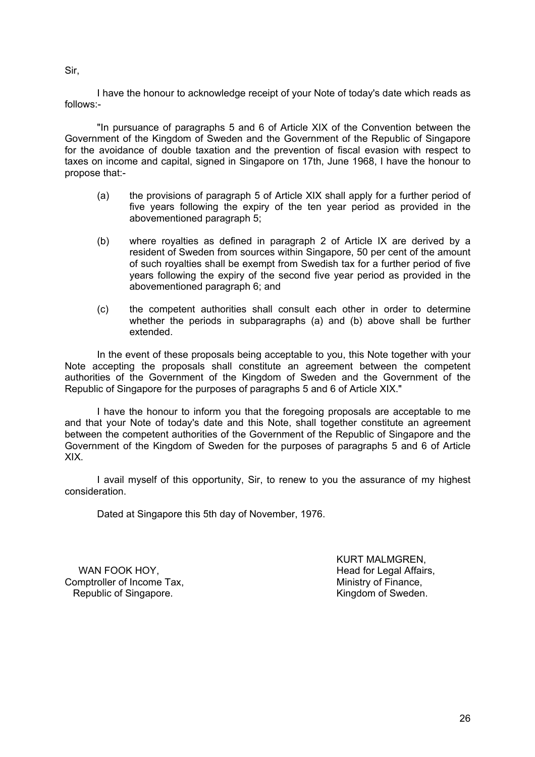Sir,

I have the honour to acknowledge receipt of your Note of today's date which reads as follows:-

"In pursuance of paragraphs 5 and 6 of Article XIX of the Convention between the Government of the Kingdom of Sweden and the Government of the Republic of Singapore for the avoidance of double taxation and the prevention of fiscal evasion with respect to taxes on income and capital, signed in Singapore on 17th, June 1968, I have the honour to propose that:-

- (a) the provisions of paragraph 5 of Article XIX shall apply for a further period of five years following the expiry of the ten year period as provided in the abovementioned paragraph 5;
- (b) where royalties as defined in paragraph 2 of Article IX are derived by a resident of Sweden from sources within Singapore, 50 per cent of the amount of such royalties shall be exempt from Swedish tax for a further period of five years following the expiry of the second five year period as provided in the abovementioned paragraph 6; and
- (c) the competent authorities shall consult each other in order to determine whether the periods in subparagraphs (a) and (b) above shall be further extended.

In the event of these proposals being acceptable to you, this Note together with your Note accepting the proposals shall constitute an agreement between the competent authorities of the Government of the Kingdom of Sweden and the Government of the Republic of Singapore for the purposes of paragraphs 5 and 6 of Article XIX."

I have the honour to inform you that the foregoing proposals are acceptable to me and that your Note of today's date and this Note, shall together constitute an agreement between the competent authorities of the Government of the Republic of Singapore and the Government of the Kingdom of Sweden for the purposes of paragraphs 5 and 6 of Article XIX.

I avail myself of this opportunity, Sir, to renew to you the assurance of my highest consideration.

Dated at Singapore this 5th day of November, 1976.

 WAN FOOK HOY, Comptroller of Income Tax, Republic of Singapore.

KURT MALMGREN, Head for Legal Affairs, Ministry of Finance, Kingdom of Sweden.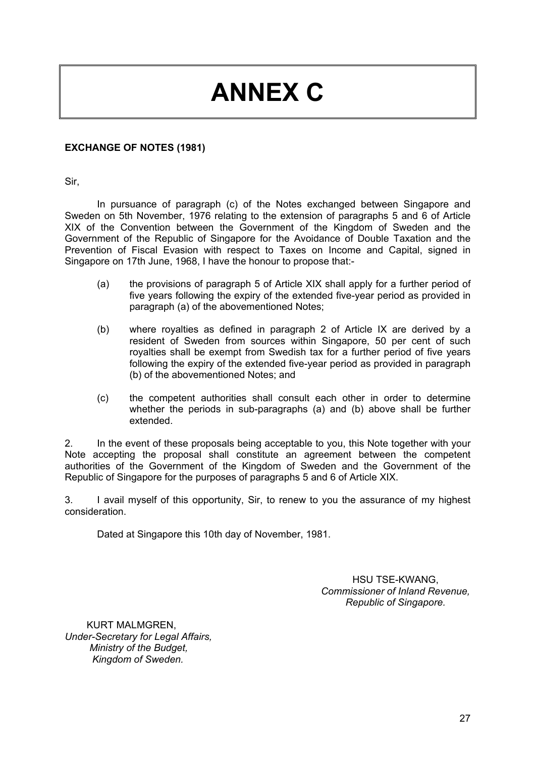# **ANNEX C**

#### **EXCHANGE OF NOTES (1981)**

Sir,

In pursuance of paragraph (c) of the Notes exchanged between Singapore and Sweden on 5th November, 1976 relating to the extension of paragraphs 5 and 6 of Article XIX of the Convention between the Government of the Kingdom of Sweden and the Government of the Republic of Singapore for the Avoidance of Double Taxation and the Prevention of Fiscal Evasion with respect to Taxes on Income and Capital, signed in Singapore on 17th June, 1968, I have the honour to propose that:-

- (a) the provisions of paragraph 5 of Article XIX shall apply for a further period of five years following the expiry of the extended five-year period as provided in paragraph (a) of the abovementioned Notes;
- (b) where royalties as defined in paragraph 2 of Article IX are derived by a resident of Sweden from sources within Singapore, 50 per cent of such royalties shall be exempt from Swedish tax for a further period of five years following the expiry of the extended five-year period as provided in paragraph (b) of the abovementioned Notes; and
- (c) the competent authorities shall consult each other in order to determine whether the periods in sub-paragraphs (a) and (b) above shall be further extended.

2. In the event of these proposals being acceptable to you, this Note together with your Note accepting the proposal shall constitute an agreement between the competent authorities of the Government of the Kingdom of Sweden and the Government of the Republic of Singapore for the purposes of paragraphs 5 and 6 of Article XIX.

3. I avail myself of this opportunity, Sir, to renew to you the assurance of my highest consideration.

Dated at Singapore this 10th day of November, 1981.

HSU TSE-KWANG, *Commissioner of Inland Revenue, Republic of Singapore.* 

 KURT MALMGREN, *Under-Secretary for Legal Affairs, Ministry of the Budget, Kingdom of Sweden.*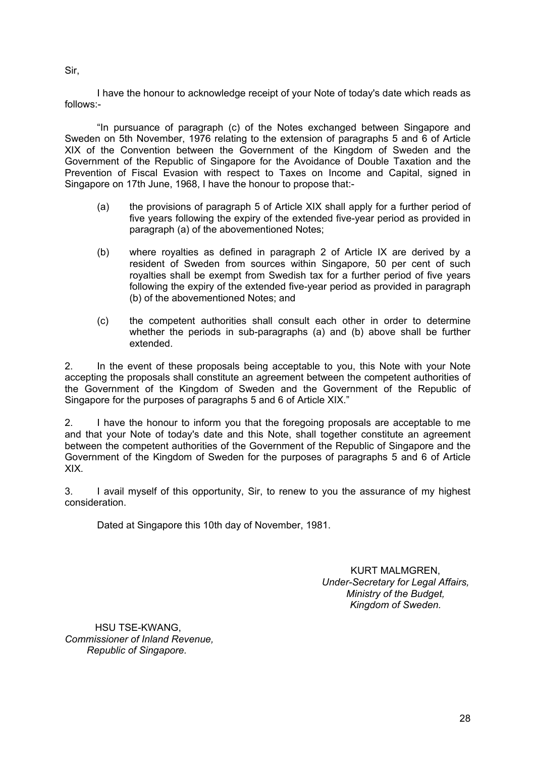Sir,

I have the honour to acknowledge receipt of your Note of today's date which reads as follows:-

"In pursuance of paragraph (c) of the Notes exchanged between Singapore and Sweden on 5th November, 1976 relating to the extension of paragraphs 5 and 6 of Article XIX of the Convention between the Government of the Kingdom of Sweden and the Government of the Republic of Singapore for the Avoidance of Double Taxation and the Prevention of Fiscal Evasion with respect to Taxes on Income and Capital, signed in Singapore on 17th June, 1968, I have the honour to propose that:-

- (a) the provisions of paragraph 5 of Article XIX shall apply for a further period of five years following the expiry of the extended five-year period as provided in paragraph (a) of the abovementioned Notes;
- (b) where royalties as defined in paragraph 2 of Article IX are derived by a resident of Sweden from sources within Singapore, 50 per cent of such royalties shall be exempt from Swedish tax for a further period of five years following the expiry of the extended five-year period as provided in paragraph (b) of the abovementioned Notes; and
- (c) the competent authorities shall consult each other in order to determine whether the periods in sub-paragraphs (a) and (b) above shall be further extended.

2. In the event of these proposals being acceptable to you, this Note with your Note accepting the proposals shall constitute an agreement between the competent authorities of the Government of the Kingdom of Sweden and the Government of the Republic of Singapore for the purposes of paragraphs 5 and 6 of Article XIX."

2. I have the honour to inform you that the foregoing proposals are acceptable to me and that your Note of today's date and this Note, shall together constitute an agreement between the competent authorities of the Government of the Republic of Singapore and the Government of the Kingdom of Sweden for the purposes of paragraphs 5 and 6 of Article XIX.

3. I avail myself of this opportunity, Sir, to renew to you the assurance of my highest consideration.

Dated at Singapore this 10th day of November, 1981.

KURT MALMGREN, *Under-Secretary for Legal Affairs, Ministry of the Budget, Kingdom of Sweden.* 

 HSU TSE-KWANG, *Commissioner of Inland Revenue, Republic of Singapore.*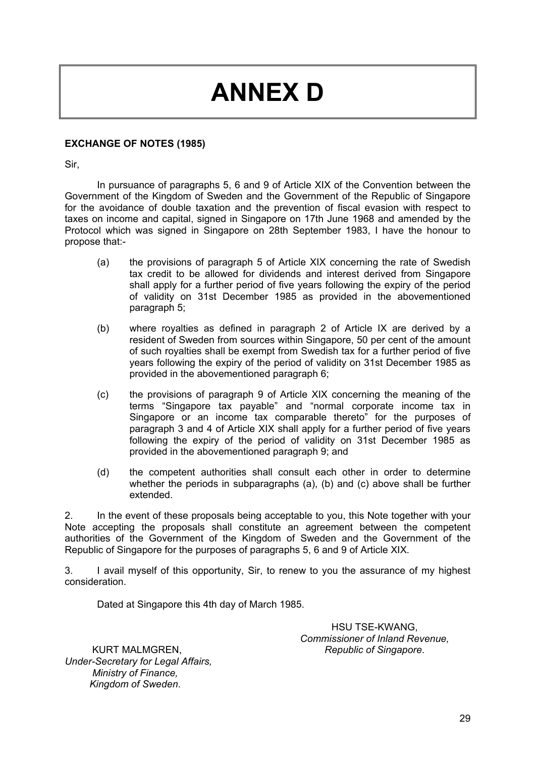# **ANNEX D**

#### **EXCHANGE OF NOTES (1985)**

Sir,

In pursuance of paragraphs 5, 6 and 9 of Article XIX of the Convention between the Government of the Kingdom of Sweden and the Government of the Republic of Singapore for the avoidance of double taxation and the prevention of fiscal evasion with respect to taxes on income and capital, signed in Singapore on 17th June 1968 and amended by the Protocol which was signed in Singapore on 28th September 1983, I have the honour to propose that:-

- (a) the provisions of paragraph 5 of Article XIX concerning the rate of Swedish tax credit to be allowed for dividends and interest derived from Singapore shall apply for a further period of five years following the expiry of the period of validity on 31st December 1985 as provided in the abovementioned paragraph 5;
- (b) where royalties as defined in paragraph 2 of Article IX are derived by a resident of Sweden from sources within Singapore, 50 per cent of the amount of such royalties shall be exempt from Swedish tax for a further period of five years following the expiry of the period of validity on 31st December 1985 as provided in the abovementioned paragraph 6;
- (c) the provisions of paragraph 9 of Article XIX concerning the meaning of the terms "Singapore tax payable" and "normal corporate income tax in Singapore or an income tax comparable thereto" for the purposes of paragraph 3 and 4 of Article XIX shall apply for a further period of five years following the expiry of the period of validity on 31st December 1985 as provided in the abovementioned paragraph 9; and
- (d) the competent authorities shall consult each other in order to determine whether the periods in subparagraphs (a), (b) and (c) above shall be further extended.

2. In the event of these proposals being acceptable to you, this Note together with your Note accepting the proposals shall constitute an agreement between the competent authorities of the Government of the Kingdom of Sweden and the Government of the Republic of Singapore for the purposes of paragraphs 5, 6 and 9 of Article XIX.

3. I avail myself of this opportunity, Sir, to renew to you the assurance of my highest consideration.

Dated at Singapore this 4th day of March 1985.

HSU TSE-KWANG, *Commissioner of Inland Revenue, Republic of Singapore*.

 KURT MALMGREN, *Under-Secretary for Legal Affairs, Ministry of Finance, Kingdom of Sweden*.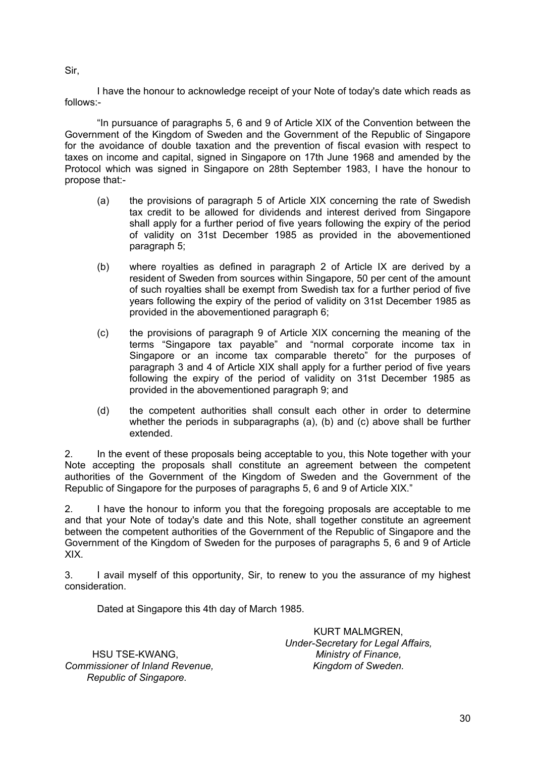Sir,

I have the honour to acknowledge receipt of your Note of today's date which reads as follows:-

"In pursuance of paragraphs 5, 6 and 9 of Article XIX of the Convention between the Government of the Kingdom of Sweden and the Government of the Republic of Singapore for the avoidance of double taxation and the prevention of fiscal evasion with respect to taxes on income and capital, signed in Singapore on 17th June 1968 and amended by the Protocol which was signed in Singapore on 28th September 1983, I have the honour to propose that:-

- (a) the provisions of paragraph 5 of Article XIX concerning the rate of Swedish tax credit to be allowed for dividends and interest derived from Singapore shall apply for a further period of five years following the expiry of the period of validity on 31st December 1985 as provided in the abovementioned paragraph 5;
- (b) where royalties as defined in paragraph 2 of Article IX are derived by a resident of Sweden from sources within Singapore, 50 per cent of the amount of such royalties shall be exempt from Swedish tax for a further period of five years following the expiry of the period of validity on 31st December 1985 as provided in the abovementioned paragraph 6;
- (c) the provisions of paragraph 9 of Article XIX concerning the meaning of the terms "Singapore tax payable" and "normal corporate income tax in Singapore or an income tax comparable thereto" for the purposes of paragraph 3 and 4 of Article XIX shall apply for a further period of five years following the expiry of the period of validity on 31st December 1985 as provided in the abovementioned paragraph 9; and
- (d) the competent authorities shall consult each other in order to determine whether the periods in subparagraphs (a), (b) and (c) above shall be further extended.

2. In the event of these proposals being acceptable to you, this Note together with your Note accepting the proposals shall constitute an agreement between the competent authorities of the Government of the Kingdom of Sweden and the Government of the Republic of Singapore for the purposes of paragraphs 5, 6 and 9 of Article XIX."

2. I have the honour to inform you that the foregoing proposals are acceptable to me and that your Note of today's date and this Note, shall together constitute an agreement between the competent authorities of the Government of the Republic of Singapore and the Government of the Kingdom of Sweden for the purposes of paragraphs 5, 6 and 9 of Article XIX.

3. I avail myself of this opportunity, Sir, to renew to you the assurance of my highest consideration.

Dated at Singapore this 4th day of March 1985.

 HSU TSE-KWANG, *Commissioner of Inland Revenue, Republic of Singapore.*

KURT MALMGREN, *Under-Secretary for Legal Affairs, Ministry of Finance, Kingdom of Sweden.*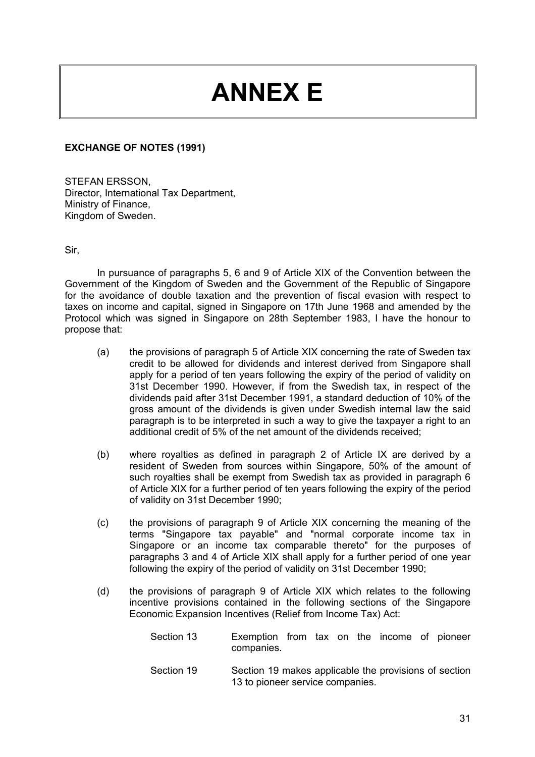# **ANNEX E**

#### **EXCHANGE OF NOTES (1991)**

STEFAN ERSSON, Director, International Tax Department, Ministry of Finance, Kingdom of Sweden.

Sir,

In pursuance of paragraphs 5, 6 and 9 of Article XIX of the Convention between the Government of the Kingdom of Sweden and the Government of the Republic of Singapore for the avoidance of double taxation and the prevention of fiscal evasion with respect to taxes on income and capital, signed in Singapore on 17th June 1968 and amended by the Protocol which was signed in Singapore on 28th September 1983, I have the honour to propose that:

- (a) the provisions of paragraph 5 of Article XIX concerning the rate of Sweden tax credit to be allowed for dividends and interest derived from Singapore shall apply for a period of ten years following the expiry of the period of validity on 31st December 1990. However, if from the Swedish tax, in respect of the dividends paid after 31st December 1991, a standard deduction of 10% of the gross amount of the dividends is given under Swedish internal law the said paragraph is to be interpreted in such a way to give the taxpayer a right to an additional credit of 5% of the net amount of the dividends received;
- (b) where royalties as defined in paragraph 2 of Article IX are derived by a resident of Sweden from sources within Singapore, 50% of the amount of such royalties shall be exempt from Swedish tax as provided in paragraph 6 of Article XIX for a further period of ten years following the expiry of the period of validity on 31st December 1990;
- (c) the provisions of paragraph 9 of Article XIX concerning the meaning of the terms "Singapore tax payable" and "normal corporate income tax in Singapore or an income tax comparable thereto" for the purposes of paragraphs 3 and 4 of Article XIX shall apply for a further period of one year following the expiry of the period of validity on 31st December 1990;
- (d) the provisions of paragraph 9 of Article XIX which relates to the following incentive provisions contained in the following sections of the Singapore Economic Expansion Incentives (Relief from Income Tax) Act:
	- Section 13 Exemption from tax on the income of pioneer companies.
	- Section 19 Section 19 makes applicable the provisions of section 13 to pioneer service companies.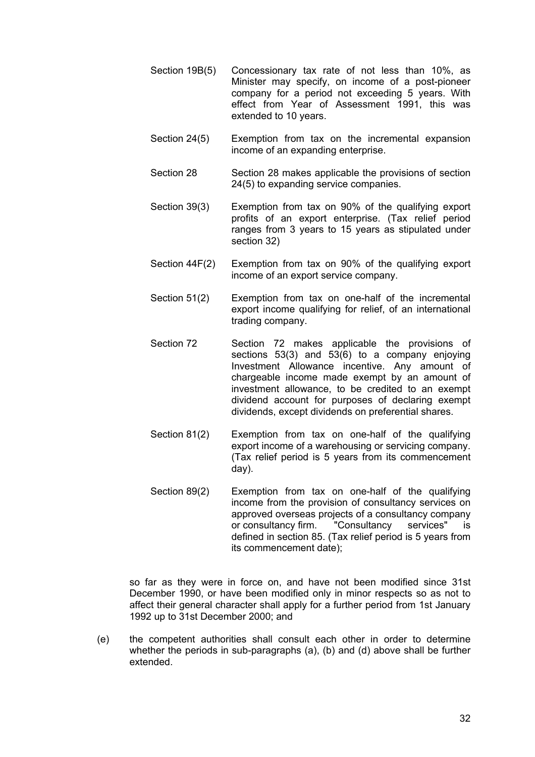- Section 19B(5) Concessionary tax rate of not less than 10%, as Minister may specify, on income of a post-pioneer company for a period not exceeding 5 years. With effect from Year of Assessment 1991, this was extended to 10 years.
- Section 24(5) Exemption from tax on the incremental expansion income of an expanding enterprise.
- Section 28 Section 28 makes applicable the provisions of section 24(5) to expanding service companies.
- Section 39(3) Exemption from tax on 90% of the qualifying export profits of an export enterprise. (Tax relief period ranges from 3 years to 15 years as stipulated under section 32)
- Section 44F(2) Exemption from tax on 90% of the qualifying export income of an export service company.
- Section 51(2) Exemption from tax on one-half of the incremental export income qualifying for relief, of an international trading company.
- Section 72 Section 72 makes applicable the provisions of sections 53(3) and 53(6) to a company enjoying Investment Allowance incentive. Any amount of chargeable income made exempt by an amount of investment allowance, to be credited to an exempt dividend account for purposes of declaring exempt dividends, except dividends on preferential shares.
- Section 81(2) Exemption from tax on one-half of the qualifying export income of a warehousing or servicing company. (Tax relief period is 5 years from its commencement day).
- Section 89(2) Exemption from tax on one-half of the qualifying income from the provision of consultancy services on approved overseas projects of a consultancy company or consultancy firm. "Consultancy services" is defined in section 85. (Tax relief period is 5 years from its commencement date);

so far as they were in force on, and have not been modified since 31st December 1990, or have been modified only in minor respects so as not to affect their general character shall apply for a further period from 1st January 1992 up to 31st December 2000; and

(e) the competent authorities shall consult each other in order to determine whether the periods in sub-paragraphs (a), (b) and (d) above shall be further extended.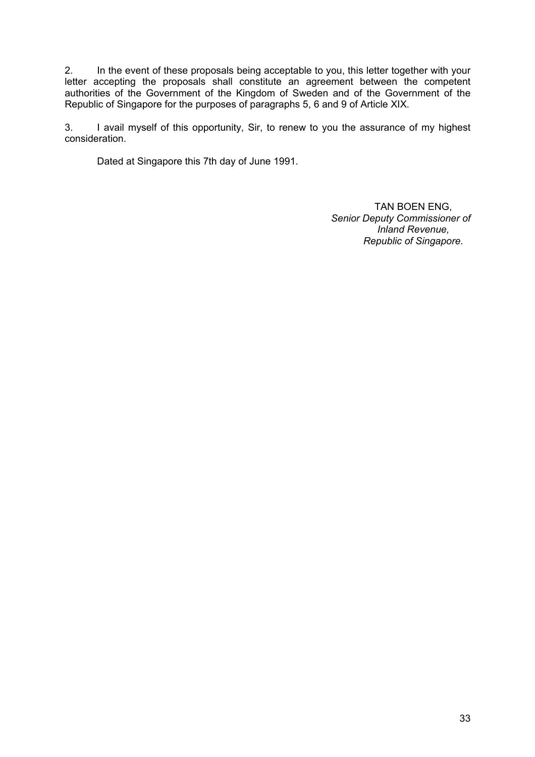2. In the event of these proposals being acceptable to you, this letter together with your letter accepting the proposals shall constitute an agreement between the competent authorities of the Government of the Kingdom of Sweden and of the Government of the Republic of Singapore for the purposes of paragraphs 5, 6 and 9 of Article XIX.

3. I avail myself of this opportunity, Sir, to renew to you the assurance of my highest consideration.

Dated at Singapore this 7th day of June 1991.

TAN BOEN ENG, *Senior Deputy Commissioner of Inland Revenue, Republic of Singapore.*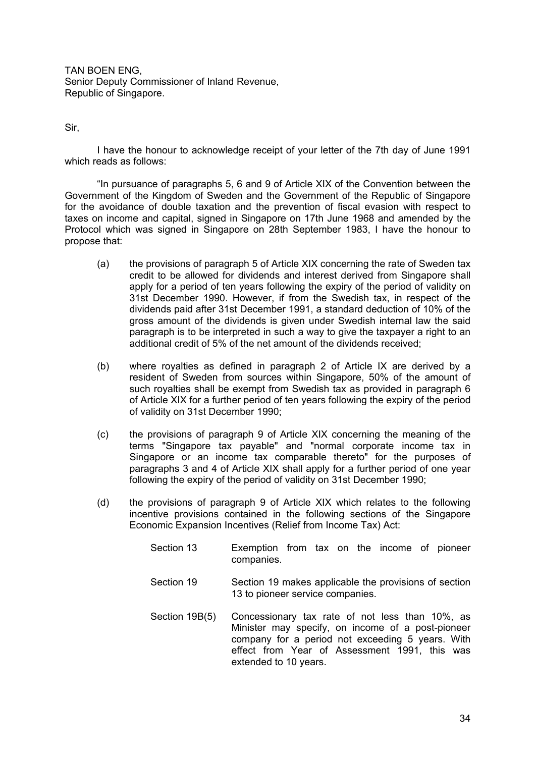TAN BOEN ENG, Senior Deputy Commissioner of Inland Revenue, Republic of Singapore.

Sir,

I have the honour to acknowledge receipt of your letter of the 7th day of June 1991 which reads as follows:

"In pursuance of paragraphs 5, 6 and 9 of Article XIX of the Convention between the Government of the Kingdom of Sweden and the Government of the Republic of Singapore for the avoidance of double taxation and the prevention of fiscal evasion with respect to taxes on income and capital, signed in Singapore on 17th June 1968 and amended by the Protocol which was signed in Singapore on 28th September 1983, I have the honour to propose that:

- (a) the provisions of paragraph 5 of Article XIX concerning the rate of Sweden tax credit to be allowed for dividends and interest derived from Singapore shall apply for a period of ten years following the expiry of the period of validity on 31st December 1990. However, if from the Swedish tax, in respect of the dividends paid after 31st December 1991, a standard deduction of 10% of the gross amount of the dividends is given under Swedish internal law the said paragraph is to be interpreted in such a way to give the taxpayer a right to an additional credit of 5% of the net amount of the dividends received;
- (b) where royalties as defined in paragraph 2 of Article IX are derived by a resident of Sweden from sources within Singapore, 50% of the amount of such royalties shall be exempt from Swedish tax as provided in paragraph 6 of Article XIX for a further period of ten years following the expiry of the period of validity on 31st December 1990;
- (c) the provisions of paragraph 9 of Article XIX concerning the meaning of the terms "Singapore tax payable" and "normal corporate income tax in Singapore or an income tax comparable thereto" for the purposes of paragraphs 3 and 4 of Article XIX shall apply for a further period of one year following the expiry of the period of validity on 31st December 1990;
- (d) the provisions of paragraph 9 of Article XIX which relates to the following incentive provisions contained in the following sections of the Singapore Economic Expansion Incentives (Relief from Income Tax) Act:
	- Section 13 Exemption from tax on the income of pioneer companies.
	- Section 19 Section 19 makes applicable the provisions of section 13 to pioneer service companies.
	- Section 19B(5) Concessionary tax rate of not less than 10%, as Minister may specify, on income of a post-pioneer company for a period not exceeding 5 years. With effect from Year of Assessment 1991, this was extended to 10 years.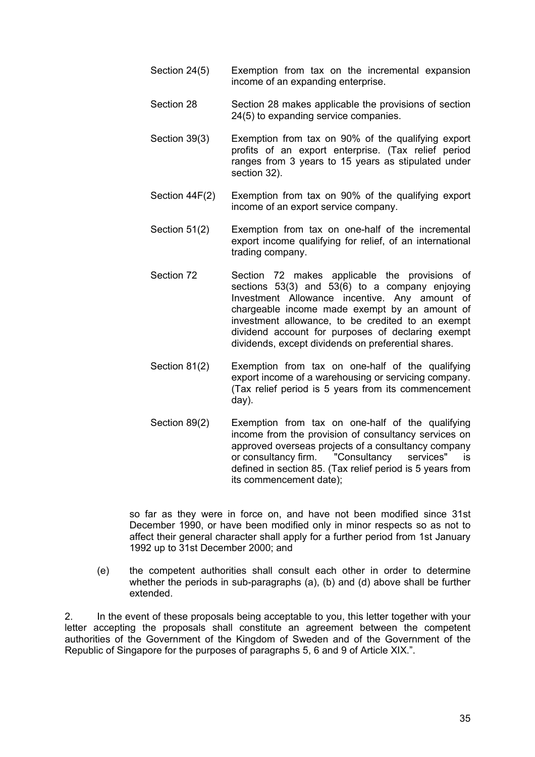- Section 24(5) Exemption from tax on the incremental expansion income of an expanding enterprise.
- Section 28 Section 28 makes applicable the provisions of section 24(5) to expanding service companies.
- Section 39(3) Exemption from tax on 90% of the qualifying export profits of an export enterprise. (Tax relief period ranges from 3 years to 15 years as stipulated under section 32).
- Section 44F(2) Exemption from tax on 90% of the qualifying export income of an export service company.
- Section 51(2) Exemption from tax on one-half of the incremental export income qualifying for relief, of an international trading company.
- Section 72 Section 72 makes applicable the provisions of sections 53(3) and 53(6) to a company enjoying Investment Allowance incentive. Any amount of chargeable income made exempt by an amount of investment allowance, to be credited to an exempt dividend account for purposes of declaring exempt dividends, except dividends on preferential shares.
- Section 81(2) Exemption from tax on one-half of the qualifying export income of a warehousing or servicing company. (Tax relief period is 5 years from its commencement day).
- Section 89(2) Exemption from tax on one-half of the qualifying income from the provision of consultancy services on approved overseas projects of a consultancy company or consultancy firm. "Consultancy services" is defined in section 85. (Tax relief period is 5 years from its commencement date);

so far as they were in force on, and have not been modified since 31st December 1990, or have been modified only in minor respects so as not to affect their general character shall apply for a further period from 1st January 1992 up to 31st December 2000; and

(e) the competent authorities shall consult each other in order to determine whether the periods in sub-paragraphs (a), (b) and (d) above shall be further extended.

2. In the event of these proposals being acceptable to you, this letter together with your letter accepting the proposals shall constitute an agreement between the competent authorities of the Government of the Kingdom of Sweden and of the Government of the Republic of Singapore for the purposes of paragraphs 5, 6 and 9 of Article XIX.".